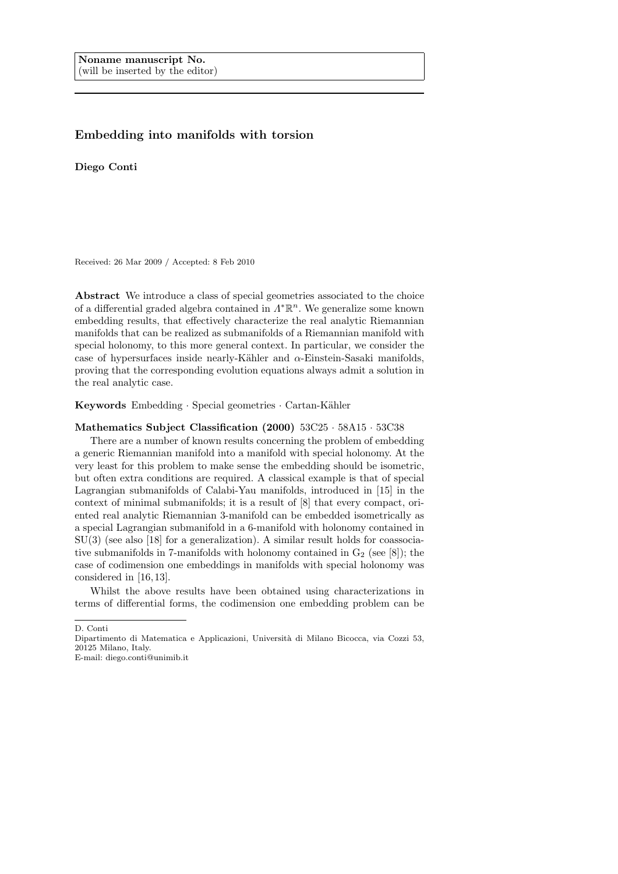## Embedding into manifolds with torsion

Diego Conti

Received: 26 Mar 2009 / Accepted: 8 Feb 2010

Abstract We introduce a class of special geometries associated to the choice of a differential graded algebra contained in  $\Lambda^{\ast} \mathbb{R}^n$ . We generalize some known embedding results, that effectively characterize the real analytic Riemannian manifolds that can be realized as submanifolds of a Riemannian manifold with special holonomy, to this more general context. In particular, we consider the case of hypersurfaces inside nearly-Kähler and  $\alpha$ -Einstein-Sasaki manifolds, proving that the corresponding evolution equations always admit a solution in the real analytic case.

Keywords Embedding · Special geometries · Cartan-Kähler

## Mathematics Subject Classification (2000) 53C25 · 58A15 · 53C38

There are a number of known results concerning the problem of embedding a generic Riemannian manifold into a manifold with special holonomy. At the very least for this problem to make sense the embedding should be isometric, but often extra conditions are required. A classical example is that of special Lagrangian submanifolds of Calabi-Yau manifolds, introduced in [15] in the context of minimal submanifolds; it is a result of [8] that every compact, oriented real analytic Riemannian 3-manifold can be embedded isometrically as a special Lagrangian submanifold in a 6-manifold with holonomy contained in SU(3) (see also [18] for a generalization). A similar result holds for coassociative submanifolds in 7-manifolds with holonomy contained in  $G_2$  (see [8]); the case of codimension one embeddings in manifolds with special holonomy was considered in [16, 13].

Whilst the above results have been obtained using characterizations in terms of differential forms, the codimension one embedding problem can be

D. Conti

Dipartimento di Matematica e Applicazioni, Universit`a di Milano Bicocca, via Cozzi 53, 20125 Milano, Italy.

E-mail: diego.conti@unimib.it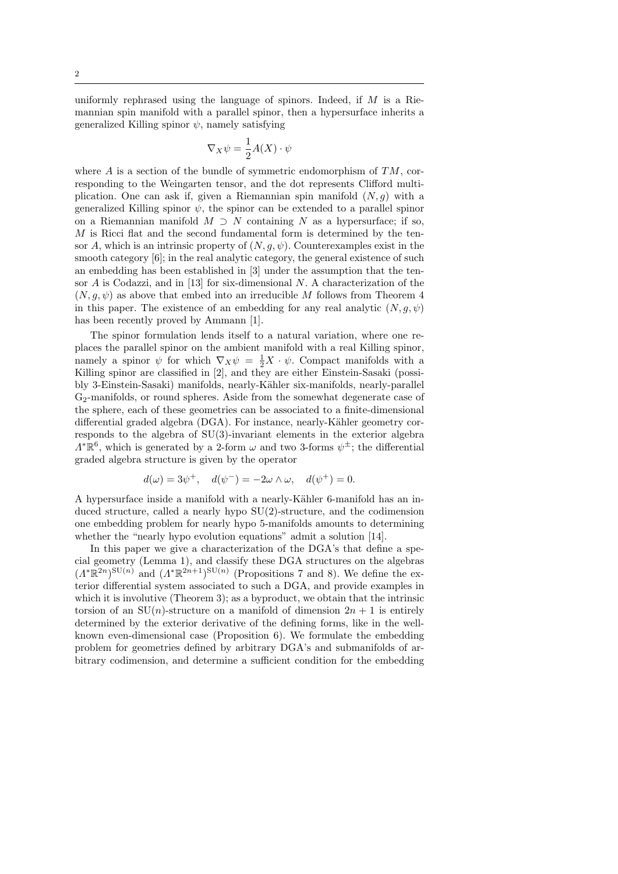uniformly rephrased using the language of spinors. Indeed, if  $M$  is a Riemannian spin manifold with a parallel spinor, then a hypersurface inherits a generalized Killing spinor  $\psi$ , namely satisfying

$$
\nabla_X \psi = \frac{1}{2} A(X) \cdot \psi
$$

where  $\vec{A}$  is a section of the bundle of symmetric endomorphism of  $TM$ , corresponding to the Weingarten tensor, and the dot represents Clifford multiplication. One can ask if, given a Riemannian spin manifold  $(N, g)$  with a generalized Killing spinor  $\psi$ , the spinor can be extended to a parallel spinor on a Riemannian manifold  $M \supset N$  containing N as a hypersurface; if so,  $M$  is Ricci flat and the second fundamental form is determined by the tensor A, which is an intrinsic property of  $(N, q, \psi)$ . Counterexamples exist in the smooth category [6]; in the real analytic category, the general existence of such an embedding has been established in [3] under the assumption that the tensor  $A$  is Codazzi, and in [13] for six-dimensional  $N$ . A characterization of the  $(N, g, \psi)$  as above that embed into an irreducible M follows from Theorem 4 in this paper. The existence of an embedding for any real analytic  $(N, g, \psi)$ has been recently proved by Ammann [1].

The spinor formulation lends itself to a natural variation, where one replaces the parallel spinor on the ambient manifold with a real Killing spinor, namely a spinor  $\psi$  for which  $\nabla_X \psi = \frac{1}{2}X \cdot \psi$ . Compact manifolds with a Killing spinor are classified in [2], and they are either Einstein-Sasaki (possibly 3-Einstein-Sasaki) manifolds, nearly-K¨ahler six-manifolds, nearly-parallel G2-manifolds, or round spheres. Aside from the somewhat degenerate case of the sphere, each of these geometries can be associated to a finite-dimensional differential graded algebra  $(DGA)$ . For instance, nearly-Kähler geometry corresponds to the algebra of SU(3)-invariant elements in the exterior algebra  $\Lambda^*\mathbb{R}^6$ , which is generated by a 2-form  $\omega$  and two 3-forms  $\psi^{\pm}$ ; the differential graded algebra structure is given by the operator

$$
d(\omega) = 3\psi^+, \quad d(\psi^-) = -2\omega \wedge \omega, \quad d(\psi^+) = 0.
$$

A hypersurface inside a manifold with a nearly-Kähler 6-manifold has an induced structure, called a nearly hypo SU(2)-structure, and the codimension one embedding problem for nearly hypo 5-manifolds amounts to determining whether the "nearly hypo evolution equations" admit a solution [14].

In this paper we give a characterization of the DGA's that define a special geometry (Lemma 1), and classify these DGA structures on the algebras  $(\Lambda^*\mathbb{R}^{2n})^{\mathrm{SU}(n)}$  and  $(\Lambda^*\mathbb{R}^{2n+1})^{\mathrm{SU}(n)}$  (Propositions 7 and 8). We define the exterior differential system associated to such a DGA, and provide examples in which it is involutive (Theorem 3); as a byproduct, we obtain that the intrinsic torsion of an  $SU(n)$ -structure on a manifold of dimension  $2n + 1$  is entirely determined by the exterior derivative of the defining forms, like in the wellknown even-dimensional case (Proposition 6). We formulate the embedding problem for geometries defined by arbitrary DGA's and submanifolds of arbitrary codimension, and determine a sufficient condition for the embedding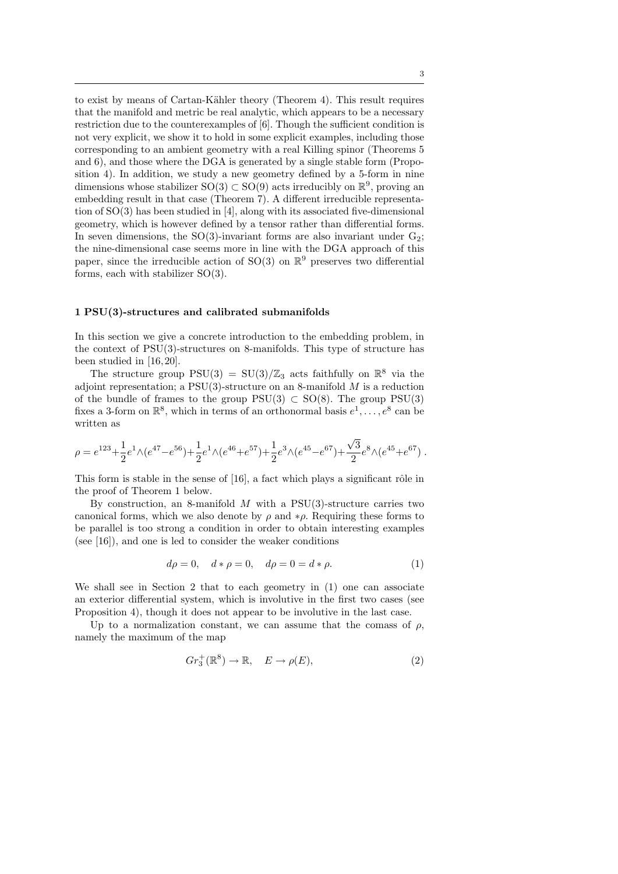to exist by means of Cartan-Kähler theory (Theorem 4). This result requires that the manifold and metric be real analytic, which appears to be a necessary restriction due to the counterexamples of [6]. Though the sufficient condition is not very explicit, we show it to hold in some explicit examples, including those corresponding to an ambient geometry with a real Killing spinor (Theorems 5 and 6), and those where the DGA is generated by a single stable form (Proposition 4). In addition, we study a new geometry defined by a 5-form in nine dimensions whose stabilizer  $SO(3) \subset SO(9)$  acts irreducibly on  $\mathbb{R}^9$ , proving an embedding result in that case (Theorem 7). A different irreducible representation of  $SO(3)$  has been studied in [4], along with its associated five-dimensional geometry, which is however defined by a tensor rather than differential forms. In seven dimensions, the  $SO(3)$ -invariant forms are also invariant under  $G_2$ ; the nine-dimensional case seems more in line with the DGA approach of this paper, since the irreducible action of SO(3) on  $\mathbb{R}^9$  preserves two differential forms, each with stabilizer SO(3).

## 1 PSU(3)-structures and calibrated submanifolds

In this section we give a concrete introduction to the embedding problem, in the context of PSU(3)-structures on 8-manifolds. This type of structure has been studied in [16, 20].

The structure group  $PSU(3) = SU(3)/\mathbb{Z}_3$  acts faithfully on  $\mathbb{R}^8$  via the adjoint representation; a  $PSU(3)$ -structure on an 8-manifold M is a reduction of the bundle of frames to the group  $PSU(3) \subset SO(8)$ . The group  $PSU(3)$ fixes a 3-form on  $\mathbb{R}^8$ , which in terms of an orthonormal basis  $e^1, \ldots, e^8$  can be written as

$$
\rho = e^{123} + \frac{1}{2}e^{1}\wedge(e^{47} - e^{56}) + \frac{1}{2}e^{1}\wedge(e^{46} + e^{57}) + \frac{1}{2}e^{3}\wedge(e^{45} - e^{67}) + \frac{\sqrt{3}}{2}e^{8}\wedge(e^{45} + e^{67})
$$

This form is stable in the sense of  $[16]$ , a fact which plays a significant rôle in the proof of Theorem 1 below.

By construction, an 8-manifold  $M$  with a PSU(3)-structure carries two canonical forms, which we also denote by  $\rho$  and  $*\rho$ . Requiring these forms to be parallel is too strong a condition in order to obtain interesting examples (see [16]), and one is led to consider the weaker conditions

$$
d\rho = 0, \quad d * \rho = 0, \quad d\rho = 0 = d * \rho.
$$
 (1)

We shall see in Section 2 that to each geometry in (1) one can associate an exterior differential system, which is involutive in the first two cases (see Proposition 4), though it does not appear to be involutive in the last case.

Up to a normalization constant, we can assume that the comass of  $\rho$ , namely the maximum of the map

$$
Gr_3^+(\mathbb{R}^8) \to \mathbb{R}, \quad E \to \rho(E), \tag{2}
$$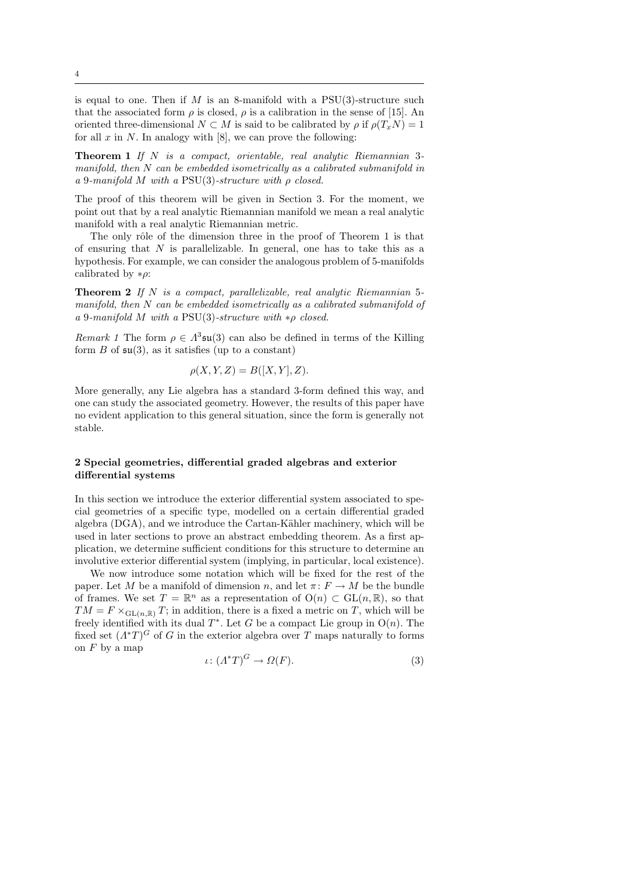is equal to one. Then if  $M$  is an 8-manifold with a PSU(3)-structure such that the associated form  $\rho$  is closed,  $\rho$  is a calibration in the sense of [15]. An oriented three-dimensional  $N \subset M$  is said to be calibrated by  $\rho$  if  $\rho(T_n N) = 1$ for all  $x$  in  $N$ . In analogy with [8], we can prove the following:

**Theorem 1** If  $N$  is a compact, orientable, real analytic Riemannian 3manifold, then N can be embedded isometrically as a calibrated submanifold in a 9-manifold M with a PSU(3)-structure with ρ closed.

The proof of this theorem will be given in Section 3. For the moment, we point out that by a real analytic Riemannian manifold we mean a real analytic manifold with a real analytic Riemannian metric.

The only rôle of the dimension three in the proof of Theorem 1 is that of ensuring that  $N$  is parallelizable. In general, one has to take this as a hypothesis. For example, we can consider the analogous problem of 5-manifolds calibrated by  $*\rho$ :

**Theorem 2** If N is a compact, parallelizable, real analytic Riemannian 5manifold, then N can be embedded isometrically as a calibrated submanifold of a 9-manifold M with a PSU(3)-structure with  $*\rho$  closed.

Remark 1 The form  $\rho \in \Lambda^3$ **su**(3) can also be defined in terms of the Killing form  $B$  of  $\mathfrak{su}(3)$ , as it satisfies (up to a constant)

$$
\rho(X, Y, Z) = B([X, Y], Z).
$$

More generally, any Lie algebra has a standard 3-form defined this way, and one can study the associated geometry. However, the results of this paper have no evident application to this general situation, since the form is generally not stable.

## 2 Special geometries, differential graded algebras and exterior differential systems

In this section we introduce the exterior differential system associated to special geometries of a specific type, modelled on a certain differential graded algebra (DGA), and we introduce the Cartan-Kähler machinery, which will be used in later sections to prove an abstract embedding theorem. As a first application, we determine sufficient conditions for this structure to determine an involutive exterior differential system (implying, in particular, local existence).

We now introduce some notation which will be fixed for the rest of the paper. Let M be a manifold of dimension n, and let  $\pi: F \to M$  be the bundle of frames. We set  $T = \mathbb{R}^n$  as a representation of  $O(n) \subset GL(n, \mathbb{R})$ , so that  $TM = F \times_{GL(n,\mathbb{R})} T$ ; in addition, there is a fixed a metric on T, which will be freely identified with its dual  $T^*$ . Let G be a compact Lie group in  $O(n)$ . The fixed set  $(\Lambda^*T)^G$  of G in the exterior algebra over T maps naturally to forms on  $F$  by a map

$$
\iota \colon (A^*T)^G \to \Omega(F). \tag{3}
$$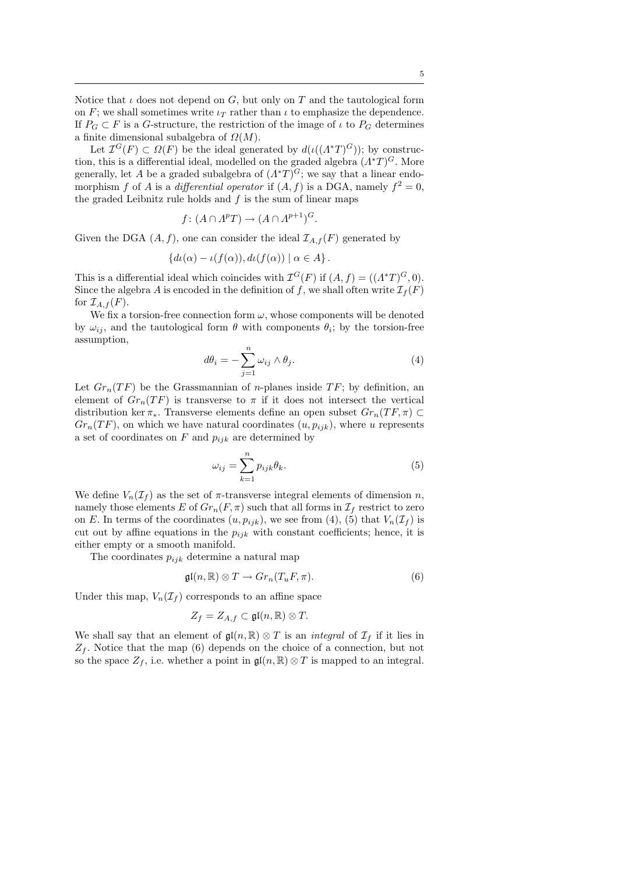Notice that  $\iota$  does not depend on G, but only on T and the tautological form on F; we shall sometimes write  $\iota_T$  rather than  $\iota$  to emphasize the dependence. If  $P_G \subset F$  is a G-structure, the restriction of the image of  $\iota$  to  $P_G$  determines a finite dimensional subalgebra of  $\Omega(M)$ .

Let  $\mathcal{I}^G(F) \subset \Omega(F)$  be the ideal generated by  $d(\iota((\Lambda^*T)^G))$ ; by construction, this is a differential ideal, modelled on the graded algebra  $(\Lambda^*T)^G$ . More generally, let A be a graded subalgebra of  $(\Lambda^*T)^G$ ; we say that a linear endomorphism f of A is a differential operator if  $(A, f)$  is a DGA, namely  $f^2 = 0$ , the graded Leibnitz rule holds and  $f$  is the sum of linear maps

$$
f\colon (A\cap A^pT)\to (A\cap A^{p+1})^G.
$$

Given the DGA  $(A, f)$ , one can consider the ideal  $\mathcal{I}_{A,f}(F)$  generated by

$$
\{d\iota(\alpha) - \iota(f(\alpha)), d\iota(f(\alpha)) \mid \alpha \in A\}.
$$

This is a differential ideal which coincides with  $\mathcal{I}^G(F)$  if  $(A, f) = ((\Lambda^* T)^G, 0)$ . Since the algebra A is encoded in the definition of f, we shall often write  $\mathcal{I}_f(F)$ for  $\mathcal{I}_{A,f}(F)$ .

We fix a torsion-free connection form  $\omega$ , whose components will be denoted by  $\omega_{ij}$ , and the tautological form  $\theta$  with components  $\theta_i$ ; by the torsion-free assumption,

$$
d\theta_i = -\sum_{j=1}^n \omega_{ij} \wedge \theta_j.
$$
 (4)

Let  $Gr_n(TF)$  be the Grassmannian of *n*-planes inside  $TF$ ; by definition, an element of  $Gr_n(TF)$  is transverse to  $\pi$  if it does not intersect the vertical distribution ker  $\pi_*$ . Transverse elements define an open subset  $Gr_n(TF, \pi) \subset$  $Gr_n(TF)$ , on which we have natural coordinates  $(u, p_{ijk})$ , where u represents a set of coordinates on  $F$  and  $p_{ijk}$  are determined by

$$
\omega_{ij} = \sum_{k=1}^{n} p_{ijk} \theta_k.
$$
\n(5)

We define  $V_n(\mathcal{I}_f)$  as the set of  $\pi$ -transverse integral elements of dimension n, namely those elements E of  $Gr_n(F, \pi)$  such that all forms in  $\mathcal{I}_f$  restrict to zero on E. In terms of the coordinates  $(u, p_{ijk})$ , we see from (4), (5) that  $V_n(\mathcal{I}_f)$  is cut out by affine equations in the  $p_{ijk}$  with constant coefficients; hence, it is either empty or a smooth manifold.

The coordinates  $p_{ijk}$  determine a natural map

$$
\mathfrak{gl}(n,\mathbb{R}) \otimes T \to Gr_n(T_uF,\pi). \tag{6}
$$

Under this map,  $V_n(\mathcal{I}_f)$  corresponds to an affine space

$$
Z_f = Z_{A,f} \subset \mathfrak{gl}(n,\mathbb{R}) \otimes T.
$$

We shall say that an element of  $\mathfrak{gl}(n,\mathbb{R})\otimes T$  is an *integral* of  $\mathcal{I}_f$  if it lies in  $Z_f$ . Notice that the map (6) depends on the choice of a connection, but not so the space  $Z_f$ , i.e. whether a point in  $\mathfrak{gl}(n,\mathbb{R})\otimes T$  is mapped to an integral.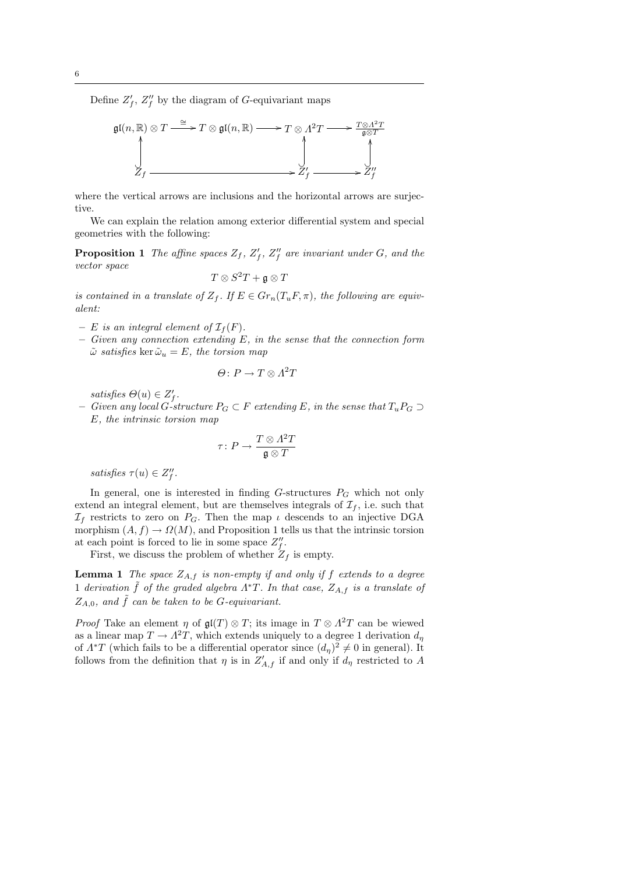Define  $Z'_f$ ,  $Z''_f$  by the diagram of G-equivariant maps

$$
\mathfrak{gl}(n,\mathbb{R})\otimes T \xrightarrow{\cong} T\otimes \mathfrak{gl}(n,\mathbb{R}) \longrightarrow T\otimes A^2T \longrightarrow \frac{T\otimes A^2T}{\mathfrak{g}\otimes T}
$$
\n
$$
\downarrow \qquad \qquad \downarrow
$$
\n
$$
Z_f \xrightarrow{\qquad \qquad \downarrow}
$$
\n
$$
Z'_f \longrightarrow Z'_f \longrightarrow Z''_f
$$

where the vertical arrows are inclusions and the horizontal arrows are surjective.

We can explain the relation among exterior differential system and special geometries with the following:

**Proposition 1** The affine spaces  $Z_f$ ,  $Z'_f$ ,  $Z''_f$  are invariant under G, and the vector space

$$
T\otimes S^2T+\mathfrak{g}\otimes T
$$

is contained in a translate of  $Z_f$ . If  $E \in Gr_n(T_uF, \pi)$ , the following are equivalent:

- E is an integral element of  $\mathcal{I}_f(F)$ .
- $-$  Given any connection extending E, in the sense that the connection form  $\tilde{\omega}$  satisfies ker  $\tilde{\omega}_u = E$ , the torsion map

$$
\Theta\colon P\to T\otimes A^2T
$$

satisfies  $\Theta(u) \in Z_f'$ .

– Given any local G-structure  $P_G ⊂ F$  extending E, in the sense that  $T_u P_G ⊃$ E, the intrinsic torsion map

$$
\tau\colon P\to \frac{T\otimes A^2T}{\mathfrak{g}\otimes T}
$$

satisfies  $\tau(u) \in Z_f''$ .

In general, one is interested in finding  $G$ -structures  $P_G$  which not only extend an integral element, but are themselves integrals of  $\mathcal{I}_f$ , i.e. such that  $\mathcal{I}_f$  restricts to zero on  $P_G$ . Then the map  $\iota$  descends to an injective DGA morphism  $(A, f) \to \Omega(M)$ , and Proposition 1 tells us that the intrinsic torsion at each point is forced to lie in some space  $Z_f''$ .

First, we discuss the problem of whether  $Z_f$  is empty.

**Lemma 1** The space  $Z_{A,f}$  is non-empty if and only if f extends to a degree 1 derivation  $\tilde{f}$  of the graded algebra  $\Lambda^*T$ . In that case,  $Z_{A,f}$  is a translate of  $Z_{A,0}$ , and  $\tilde{f}$  can be taken to be G-equivariant.

*Proof* Take an element  $\eta$  of  $\mathfrak{gl}(T) \otimes T$ ; its image in  $T \otimes \Lambda^2 T$  can be wiewed as a linear map  $T \to \Lambda^2 T$ , which extends uniquely to a degree 1 derivation  $d_{\eta}$ of  $\Lambda^*T$  (which fails to be a differential operator since  $(d_n)^2 \neq 0$  in general). It follows from the definition that  $\eta$  is in  $Z'_{A,f}$  if and only if  $d_{\eta}$  restricted to A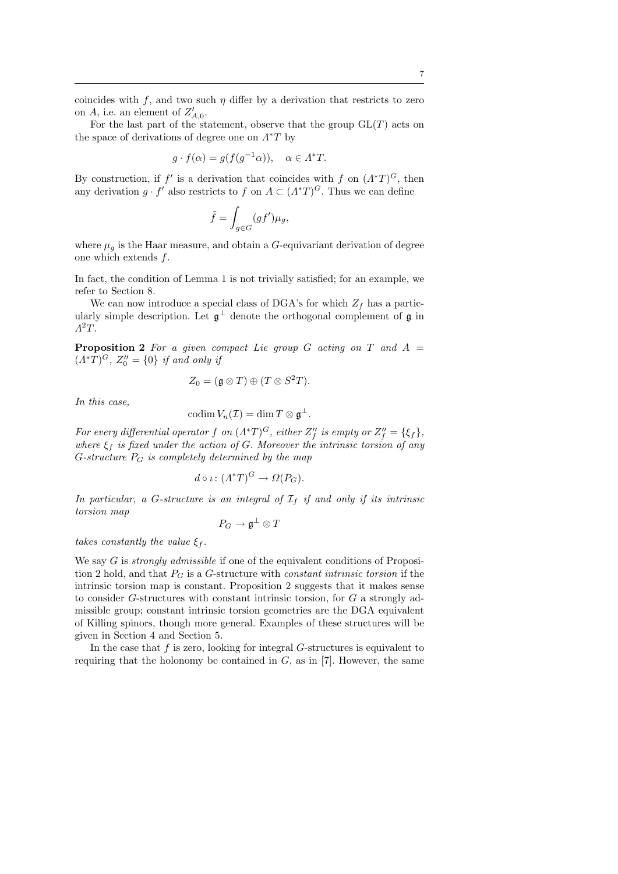coincides with f, and two such  $\eta$  differ by a derivation that restricts to zero on A, i.e. an element of  $Z'_{A,0}$ .

For the last part of the statement, observe that the group  $GL(T)$  acts on the space of derivations of degree one on  $\Lambda^*T$  by

$$
g \cdot f(\alpha) = g(f(g^{-1}\alpha)), \quad \alpha \in \Lambda^*T.
$$

By construction, if  $f'$  is a derivation that coincides with f on  $(\Lambda^*T)^G$ , then any derivation  $g \cdot f'$  also restricts to f on  $A \subset (A^*T)^G$ . Thus we can define

$$
\tilde{f} = \int_{g \in G} (gf') \mu_g,
$$

where  $\mu_q$  is the Haar measure, and obtain a G-equivariant derivation of degree one which extends  $f$ .

In fact, the condition of Lemma 1 is not trivially satisfied; for an example, we refer to Section 8.

We can now introduce a special class of DGA's for which  $Z_f$  has a particularly simple description. Let  $\mathfrak{g}^{\perp}$  denote the orthogonal complement of  $\mathfrak{g}$  in  $\Lambda^2 T$ .

**Proposition 2** For a given compact Lie group G acting on T and  $A =$  $(\Lambda^*T)^G$ ,  $Z_0'' = \{0\}$  if and only if

$$
Z_0 = (\mathfrak{g} \otimes T) \oplus (T \otimes S^2T).
$$

In this case,

$$
\mathrm{codim}\, V_n(\mathcal{I})=\dim T\otimes \mathfrak{g}^\perp.
$$

For every differential operator f on  $(\Lambda^*T)^G$ , either  $Z''_f$  is empty or  $Z''_f = \{\xi_f\}$ , where  $\xi_f$  is fixed under the action of G. Moreover the intrinsic torsion of any G-structure  $P_G$  is completely determined by the map

$$
d \circ \iota \colon (A^*T)^G \to \Omega(P_G).
$$

In particular, a G-structure is an integral of  $I_f$  if and only if its intrinsic torsion map

$$
P_G \to \mathfrak{g}^\perp \otimes T
$$

takes constantly the value  $\xi_f$ .

We say  $G$  is *strongly admissible* if one of the equivalent conditions of Proposition 2 hold, and that  $P_G$  is a G-structure with *constant intrinsic torsion* if the intrinsic torsion map is constant. Proposition 2 suggests that it makes sense to consider G-structures with constant intrinsic torsion, for G a strongly admissible group; constant intrinsic torsion geometries are the DGA equivalent of Killing spinors, though more general. Examples of these structures will be given in Section 4 and Section 5.

In the case that  $f$  is zero, looking for integral  $G$ -structures is equivalent to requiring that the holonomy be contained in  $G$ , as in [7]. However, the same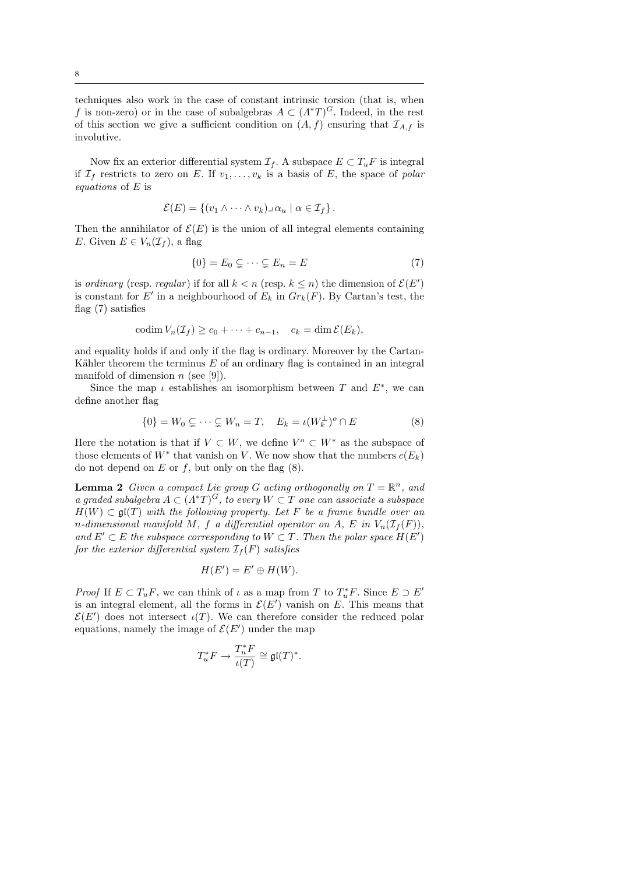techniques also work in the case of constant intrinsic torsion (that is, when f is non-zero) or in the case of subalgebras  $A \subset (A^*T)^G$ . Indeed, in the rest of this section we give a sufficient condition on  $(A, f)$  ensuring that  $\mathcal{I}_{A,f}$  is involutive.

Now fix an exterior differential system  $\mathcal{I}_f$ . A subspace  $E \subset T_uF$  is integral if  $\mathcal{I}_f$  restricts to zero on E. If  $v_1, \ldots, v_k$  is a basis of E, the space of polar equations of E is

$$
\mathcal{E}(E) = \{ (v_1 \wedge \cdots \wedge v_k) \cup \alpha_u \mid \alpha \in \mathcal{I}_f \}.
$$

Then the annihilator of  $\mathcal{E}(E)$  is the union of all integral elements containing E. Given  $E \in V_n(\mathcal{I}_f)$ , a flag

$$
\{0\} = E_0 \subsetneq \cdots \subsetneq E_n = E \tag{7}
$$

is ordinary (resp. regular) if for all  $k < n$  (resp.  $k \leq n$ ) the dimension of  $\mathcal{E}(E')$ is constant for E' in a neighbourhood of  $E_k$  in  $Gr_k(F)$ . By Cartan's test, the flag (7) satisfies

$$
\mathrm{codim}\, V_n(\mathcal{I}_f) \ge c_0 + \cdots + c_{n-1}, \quad c_k = \dim \mathcal{E}(E_k),
$$

and equality holds if and only if the flag is ordinary. Moreover by the Cartan-Kähler theorem the terminus  $E$  of an ordinary flag is contained in an integral manifold of dimension  $n$  (see [9]).

Since the map  $\iota$  establishes an isomorphism between T and  $E^*$ , we can define another flag

$$
\{0\} = W_0 \subsetneq \cdots \subsetneq W_n = T, \quad E_k = \iota(W_k^{\perp})^o \cap E \tag{8}
$$

Here the notation is that if  $V \subset W$ , we define  $V^o \subset W^*$  as the subspace of those elements of  $W^*$  that vanish on V. We now show that the numbers  $c(E_k)$ do not depend on  $E$  or  $f$ , but only on the flag  $(8)$ .

**Lemma 2** Given a compact Lie group G acting orthogonally on  $T = \mathbb{R}^n$ , and a graded subalgebra  $A \subset (A^*T)^G$ , to every  $W \subset T$  one can associate a subspace  $H(W) \subset \mathfrak{gl}(T)$  with the following property. Let F be a frame bundle over an n-dimensional manifold M, f a differential operator on A, E in  $V_n(\mathcal{I}_f(F))$ , and  $E' \subset E$  the subspace corresponding to  $W \subset T$ . Then the polar space  $H(E')$ for the exterior differential system  $\mathcal{I}_f(F)$  satisfies

$$
H(E') = E' \oplus H(W).
$$

*Proof* If  $E \subset T_uF$ , we can think of  $\iota$  as a map from T to  $T_u^*F$ . Since  $E \supset E'$ is an integral element, all the forms in  $\mathcal{E}(E')$  vanish on E. This means that  $\mathcal{E}(E')$  does not intersect  $\iota(T)$ . We can therefore consider the reduced polar equations, namely the image of  $\mathcal{E}(E')$  under the map

$$
T_u^*F \to \frac{T_u^*F}{\iota(T)} \cong \mathfrak{gl}(T)^*.
$$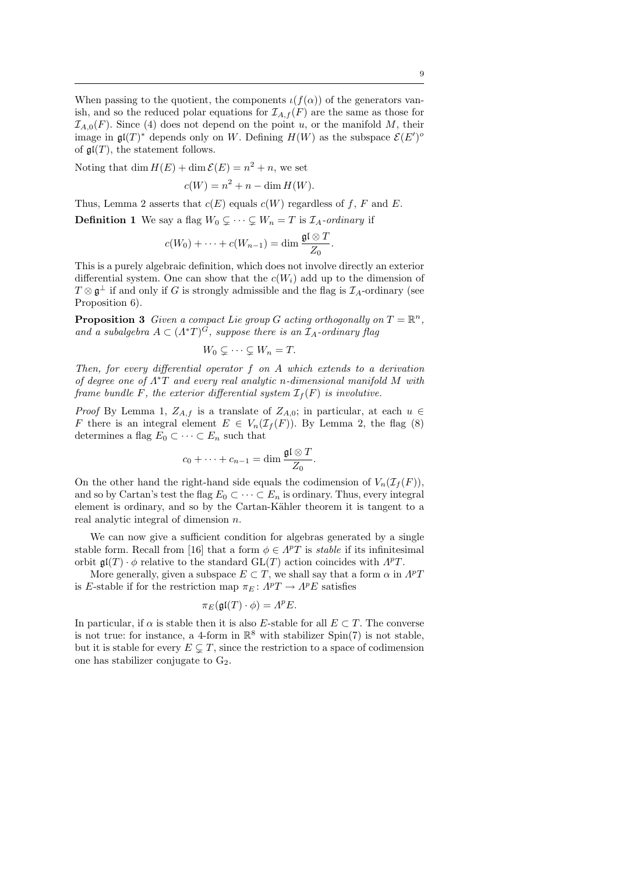When passing to the quotient, the components  $\iota(f(\alpha))$  of the generators vanish, and so the reduced polar equations for  $\mathcal{I}_{A,f}(F)$  are the same as those for  $\mathcal{I}_{A,0}(F)$ . Since (4) does not depend on the point u, or the manifold M, their image in  $\mathfrak{gl}(T)^*$  depends only on W. Defining  $H(W)$  as the subspace  $\mathcal{E}(E')^o$ of  $\mathfrak{gl}(T)$ , the statement follows.

Noting that dim  $H(E) + \dim \mathcal{E}(E) = n^2 + n$ , we set

$$
c(W) = n^2 + n - \dim H(W).
$$

Thus, Lemma 2 asserts that  $c(E)$  equals  $c(W)$  regardless of f, F and E.

**Definition 1** We say a flag  $W_0 \subsetneq \cdots \subsetneq W_n = T$  is  $\mathcal{I}_A$ -ordinary if

$$
c(W_0)+\cdots+c(W_{n-1})=\dim\frac{\mathfrak{gl}\otimes T}{Z_0}.
$$

This is a purely algebraic definition, which does not involve directly an exterior differential system. One can show that the  $c(W_i)$  add up to the dimension of  $T \otimes \mathfrak{g}^{\perp}$  if and only if G is strongly admissible and the flag is  $\mathcal{I}_A$ -ordinary (see Proposition 6).

**Proposition 3** Given a compact Lie group G acting orthogonally on  $T = \mathbb{R}^n$ , and a subalgebra  $A \subset (A^*T)^G$ , suppose there is an  $\mathcal{I}_A$ -ordinary flag

$$
W_0 \subsetneq \cdots \subsetneq W_n = T.
$$

Then, for every differential operator  $f$  on  $A$  which extends to a derivation of degree one of  $\Lambda^*T$  and every real analytic n-dimensional manifold M with frame bundle F, the exterior differential system  $\mathcal{I}_f(F)$  is involutive.

*Proof* By Lemma 1,  $Z_{A,f}$  is a translate of  $Z_{A,0}$ ; in particular, at each  $u \in$ F there is an integral element  $E \in V_n(\mathcal{I}_f(F))$ . By Lemma 2, the flag (8) determines a flag  $E_0 \subset \cdots \subset E_n$  such that

$$
c_0 + \cdots + c_{n-1} = \dim \frac{\mathfrak{gl} \otimes T}{Z_0}.
$$

On the other hand the right-hand side equals the codimension of  $V_n(\mathcal{I}_f(F))$ , and so by Cartan's test the flag  $E_0 \subset \cdots \subset E_n$  is ordinary. Thus, every integral element is ordinary, and so by the Cartan-Kähler theorem it is tangent to a real analytic integral of dimension n.

We can now give a sufficient condition for algebras generated by a single stable form. Recall from [16] that a form  $\phi \in \Lambda^p T$  is *stable* if its infinitesimal orbit  $\mathfrak{gl}(T) \cdot \phi$  relative to the standard  $GL(T)$  action coincides with  $\Lambda^p T$ .

More generally, given a subspace  $E \subset T$ , we shall say that a form  $\alpha$  in  $\Lambda^p T$ is E-stable if for the restriction map  $\pi_E \colon A^p T \to A^p E$  satisfies

$$
\pi_E(\mathfrak{gl}(T)\cdot\phi)=A^pE.
$$

In particular, if  $\alpha$  is stable then it is also E-stable for all  $E \subset T$ . The converse is not true: for instance, a 4-form in  $\mathbb{R}^8$  with stabilizer Spin(7) is not stable, but it is stable for every  $E \subseteq T$ , since the restriction to a space of codimension one has stabilizer conjugate to  $G_2$ .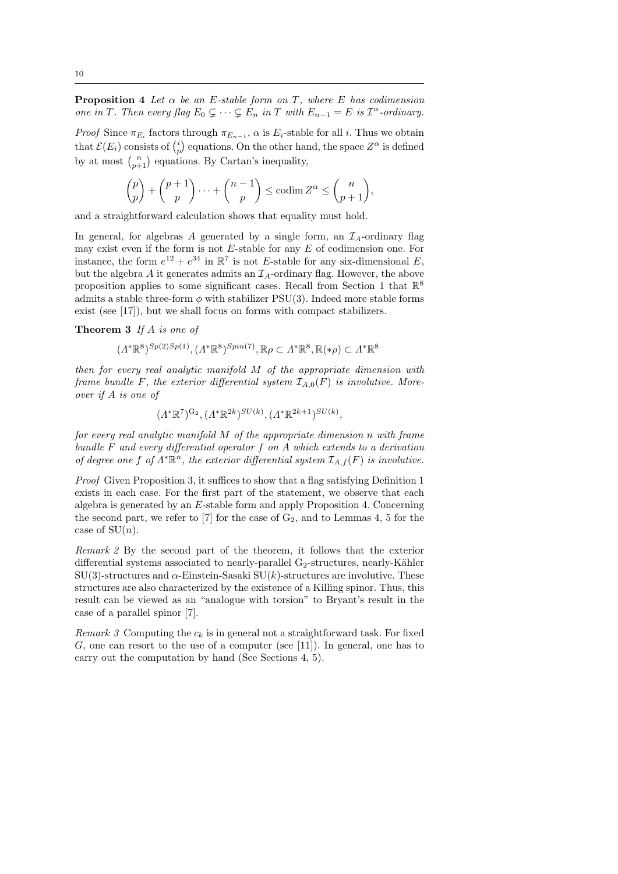**Proposition 4** Let  $\alpha$  be an E-stable form on T, where E has codimension one in T. Then every flag  $E_0 \subsetneq \cdots \subsetneq E_n$  in T with  $E_{n-1} = E$  is  $\mathcal{I}^{\alpha}$ -ordinary.

*Proof* Since  $\pi_{E_i}$  factors through  $\pi_{E_{n-1}}$ ,  $\alpha$  is  $E_i$ -stable for all i. Thus we obtain that  $\mathcal{E}(E_i)$  consists of  $\binom{i}{p}$  equations. On the other hand, the space  $Z^{\alpha}$  is defined by at most  $\binom{n}{p+1}$  equations. By Cartan's inequality,

$$
\binom{p}{p} + \binom{p+1}{p} \cdots + \binom{n-1}{p} \le \operatorname{codim} Z^{\alpha} \le \binom{n}{p+1},
$$

and a straightforward calculation shows that equality must hold.

In general, for algebras A generated by a single form, an  $\mathcal{I}_A$ -ordinary flag may exist even if the form is not  $E$ -stable for any  $E$  of codimension one. For instance, the form  $e^{12} + e^{34}$  in  $\mathbb{R}^7$  is not E-stable for any six-dimensional E, but the algebra A it generates admits an  $\mathcal{I}_A$ -ordinary flag. However, the above proposition applies to some significant cases. Recall from Section 1 that  $\mathbb{R}^8$ admits a stable three-form  $\phi$  with stabilizer PSU(3). Indeed more stable forms exist (see [17]), but we shall focus on forms with compact stabilizers.

Theorem 3 If A is one of

 $(\Lambda^*\mathbb{R}^8)^{Sp(2)Sp(1)}, (\Lambda^*\mathbb{R}^8)^{Spin(7)}, \mathbb{R}\rho \subset \Lambda^*\mathbb{R}^8, \mathbb{R}(*\rho) \subset \Lambda^*\mathbb{R}^8$ 

then for every real analytic manifold M of the appropriate dimension with frame bundle F, the exterior differential system  $\mathcal{I}_{A,0}(F)$  is involutive. Moreover if A is one of

$$
(\Lambda^*\mathbb{R}^7)^{G_2}, (\Lambda^*\mathbb{R}^{2k})^{SU(k)}, (\Lambda^*\mathbb{R}^{2k+1})^{SU(k)},
$$

for every real analytic manifold M of the appropriate dimension n with frame bundle F and every differential operator f on A which extends to a derivation of degree one f of  $\Lambda^*\mathbb{R}^n$ , the exterior differential system  $\mathcal{I}_{A,f}(F)$  is involutive.

Proof Given Proposition 3, it suffices to show that a flag satisfying Definition 1 exists in each case. For the first part of the statement, we observe that each algebra is generated by an E-stable form and apply Proposition 4. Concerning the second part, we refer to [7] for the case of  $G_2$ , and to Lemmas 4, 5 for the case of  $SU(n)$ .

Remark 2 By the second part of the theorem, it follows that the exterior differential systems associated to nearly-parallel  $G_2$ -structures, nearly-Kähler  $SU(3)$ -structures and  $\alpha$ -Einstein-Sasaki  $SU(k)$ -structures are involutive. These structures are also characterized by the existence of a Killing spinor. Thus, this result can be viewed as an "analogue with torsion" to Bryant's result in the case of a parallel spinor [7].

Remark 3 Computing the  $c_k$  is in general not a straightforward task. For fixed G, one can resort to the use of a computer (see [11]). In general, one has to carry out the computation by hand (See Sections 4, 5).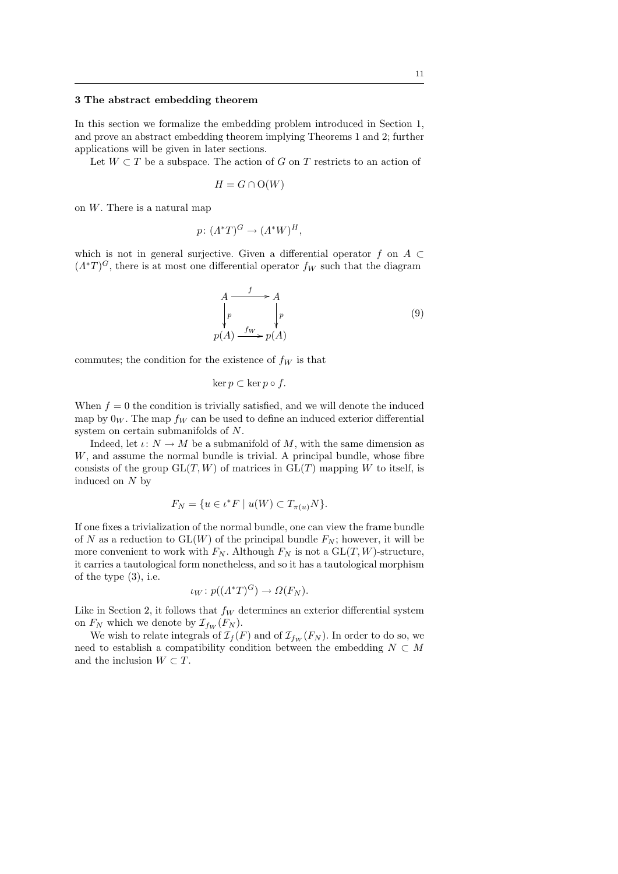## 3 The abstract embedding theorem

In this section we formalize the embedding problem introduced in Section 1, and prove an abstract embedding theorem implying Theorems 1 and 2; further applications will be given in later sections.

Let  $W \subset T$  be a subspace. The action of G on T restricts to an action of

$$
H = G \cap O(W)
$$

on  $W$ . There is a natural map

$$
p\colon (A^*T)^G \to (A^*W)^H,
$$

which is not in general surjective. Given a differential operator f on  $A \subset$  $(\Lambda^*T)^G$ , there is at most one differential operator  $f_W$  such that the diagram

$$
A \xrightarrow{f} A
$$
  
\n
$$
\downarrow p
$$
  
\n
$$
p(A) \xrightarrow{f_W} p(A)
$$
 (9)

commutes; the condition for the existence of  $f_W$  is that

$$
\ker p \subset \ker p \circ f.
$$

When  $f = 0$  the condition is trivially satisfied, and we will denote the induced map by  $0_W$ . The map  $f_W$  can be used to define an induced exterior differential system on certain submanifolds of N.

Indeed, let  $\iota: N \to M$  be a submanifold of M, with the same dimension as  $W$ , and assume the normal bundle is trivial. A principal bundle, whose fibre consists of the group  $GL(T, W)$  of matrices in  $GL(T)$  mapping W to itself, is induced on  $N$  by

$$
F_N = \{ u \in \iota^* F \mid u(W) \subset T_{\pi(u)}N \}.
$$

If one fixes a trivialization of the normal bundle, one can view the frame bundle of N as a reduction to  $GL(W)$  of the principal bundle  $F_N$ ; however, it will be more convenient to work with  $F_N$ . Although  $F_N$  is not a  $GL(T, W)$ -structure, it carries a tautological form nonetheless, and so it has a tautological morphism of the type (3), i.e.

$$
\iota_W \colon p((\Lambda^*T)^G) \to \Omega(F_N).
$$

Like in Section 2, it follows that  $f_W$  determines an exterior differential system on  $F_N$  which we denote by  $\mathcal{I}_{f_W}(F_N)$ .

We wish to relate integrals of  $\mathcal{I}_f(F)$  and of  $\mathcal{I}_{f_W}(F_N)$ . In order to do so, we need to establish a compatibility condition between the embedding  $N$   $\subset$   $M$ and the inclusion  $W \subset T$ .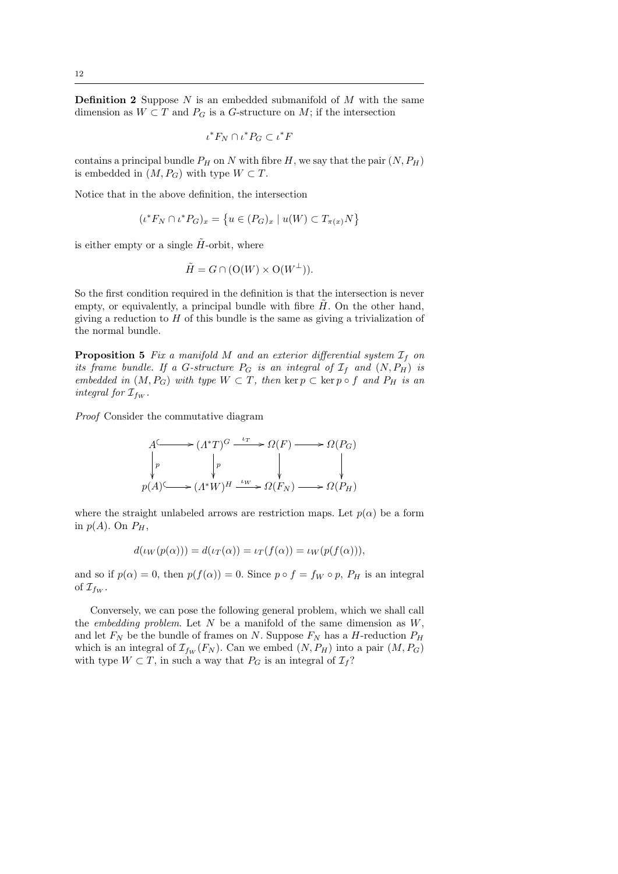**Definition 2** Suppose  $N$  is an embedded submanifold of  $M$  with the same dimension as  $W \subset T$  and  $P_G$  is a G-structure on M; if the intersection

$$
\iota^* F_N \cap \iota^* P_G \subset \iota^* F
$$

contains a principal bundle  $P_H$  on N with fibre H, we say that the pair  $(N, P_H)$ is embedded in  $(M, P_G)$  with type  $W \subset T$ .

Notice that in the above definition, the intersection

$$
(\iota^* F_N \cap \iota^* P_G)_x = \{ u \in (P_G)_x \mid u(W) \subset T_{\pi(x)}N \}
$$

is either empty or a single  $H$ -orbit, where

$$
\tilde{H} = G \cap (\mathcal{O}(W) \times \mathcal{O}(W^{\perp})).
$$

So the first condition required in the definition is that the intersection is never empty, or equivalently, a principal bundle with fibre  $H$ . On the other hand, giving a reduction to  $H$  of this bundle is the same as giving a trivialization of the normal bundle.

**Proposition 5** Fix a manifold M and an exterior differential system  $\mathcal{I}_f$  on its frame bundle. If a G-structure  $P_G$  is an integral of  $\mathcal{I}_f$  and  $(N, P_H)$  is embedded in  $(M, P_G)$  with type  $W \subset T$ , then ker  $p \subset \text{ker } p \circ f$  and  $P_H$  is an integral for  $\mathcal{I}_{f_W}$ .

Proof Consider the commutative diagram

A / p (Λ <sup>∗</sup>T) G p <sup>ι</sup><sup>T</sup> /Ω(F) / Ω(PG) p(A) /(Λ <sup>∗</sup>W) H <sup>ι</sup><sup>W</sup> /Ω(F<sup>N</sup> ) /Ω(PH)

where the straight unlabeled arrows are restriction maps. Let  $p(\alpha)$  be a form in  $p(A)$ . On  $P_H$ ,

$$
d(\iota_W(p(\alpha))) = d(\iota_T(\alpha)) = \iota_T(f(\alpha)) = \iota_W(p(f(\alpha))),
$$

and so if  $p(\alpha) = 0$ , then  $p(f(\alpha)) = 0$ . Since  $p \circ f = f_W \circ p$ ,  $P_H$  is an integral of  $\mathcal{I}_{f_W}$ .

Conversely, we can pose the following general problem, which we shall call the *embedding problem*. Let  $N$  be a manifold of the same dimension as  $W$ , and let  $F_N$  be the bundle of frames on N. Suppose  $F_N$  has a H-reduction  $P_H$ which is an integral of  $\mathcal{I}_{fw}(F_N)$ . Can we embed  $(N, P_H)$  into a pair  $(M, P_G)$ with type  $W \subset T$ , in such a way that  $P_G$  is an integral of  $\mathcal{I}_f$ ?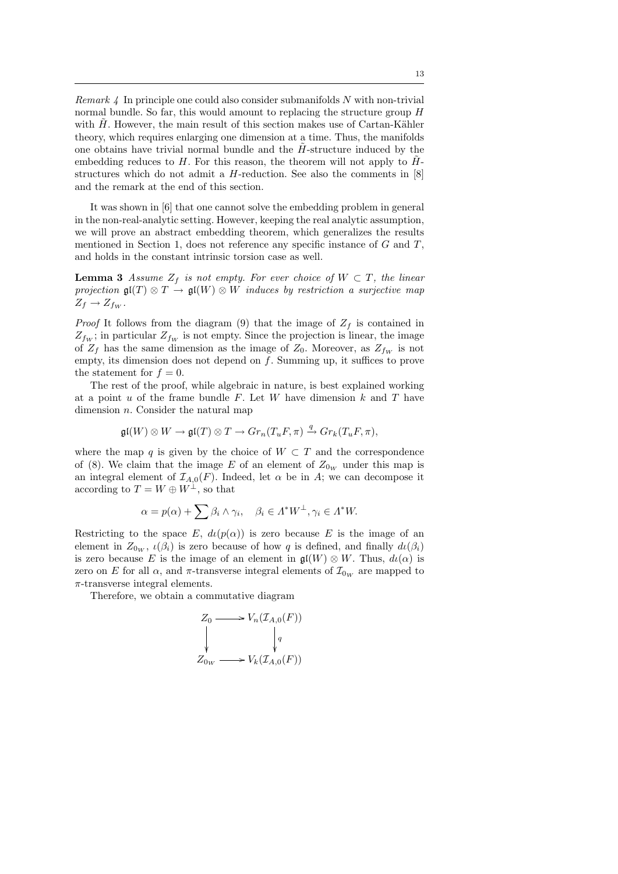*Remark 4* In principle one could also consider submanifolds  $N$  with non-trivial normal bundle. So far, this would amount to replacing the structure group  $H$ with  $H$ . However, the main result of this section makes use of Cartan-Kähler theory, which requires enlarging one dimension at a time. Thus, the manifolds one obtains have trivial normal bundle and the  $H$ -structure induced by the embedding reduces to  $H$ . For this reason, the theorem will not apply to  $H$ structures which do not admit a H-reduction. See also the comments in [8] and the remark at the end of this section.

It was shown in [6] that one cannot solve the embedding problem in general in the non-real-analytic setting. However, keeping the real analytic assumption, we will prove an abstract embedding theorem, which generalizes the results mentioned in Section 1, does not reference any specific instance of  $G$  and  $T$ , and holds in the constant intrinsic torsion case as well.

**Lemma 3** Assume  $Z_f$  is not empty. For ever choice of  $W \subset T$ , the linear projection  $\mathfrak{gl}(T) \otimes T \to \mathfrak{gl}(W) \otimes W$  induces by restriction a surjective map  $Z_f \rightarrow Z_{f_W}$ .

*Proof* It follows from the diagram (9) that the image of  $Z_f$  is contained in  $Z_{fw}$ ; in particular  $Z_{fw}$  is not empty. Since the projection is linear, the image of  $Z_f$  has the same dimension as the image of  $Z_0$ . Moreover, as  $Z_{fw}$  is not empty, its dimension does not depend on  $f$ . Summing up, it suffices to prove the statement for  $f = 0$ .

The rest of the proof, while algebraic in nature, is best explained working at a point  $u$  of the frame bundle  $F$ . Let  $W$  have dimension  $k$  and  $T$  have dimension n. Consider the natural map

$$
\mathfrak{gl}(W) \otimes W \to \mathfrak{gl}(T) \otimes T \to Gr_n(T_uF,\pi) \xrightarrow{q} Gr_k(T_uF,\pi),
$$

where the map q is given by the choice of  $W \subset T$  and the correspondence of (8). We claim that the image E of an element of  $Z_{0_W}$  under this map is an integral element of  $\mathcal{I}_{A,0}(F)$ . Indeed, let  $\alpha$  be in A; we can decompose it according to  $T = W \oplus W^{\perp}$ , so that

$$
\alpha = p(\alpha) + \sum \beta_i \wedge \gamma_i, \quad \beta_i \in \Lambda^* W^{\perp}, \gamma_i \in \Lambda^* W.
$$

Restricting to the space E,  $d\iota(p(\alpha))$  is zero because E is the image of an element in  $Z_{0_W}$ ,  $\iota(\beta_i)$  is zero because of how q is defined, and finally  $d\iota(\beta_i)$ is zero because E is the image of an element in  $\mathfrak{gl}(W) \otimes W$ . Thus,  $d\iota(\alpha)$  is zero on E for all  $\alpha$ , and  $\pi$ -transverse integral elements of  $\mathcal{I}_{0w}$  are mapped to  $\pi$ -transverse integral elements.

Therefore, we obtain a commutative diagram

$$
Z_0 \longrightarrow V_n(\mathcal{I}_{A,0}(F))
$$
  
\n
$$
\downarrow q
$$
  
\n
$$
Z_{0_W} \longrightarrow V_k(\mathcal{I}_{A,0}(F))
$$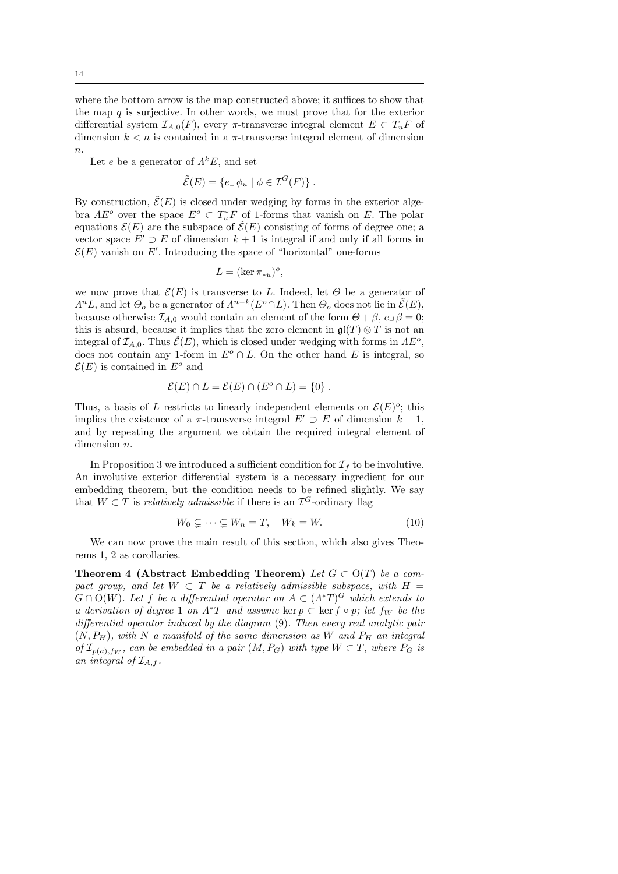where the bottom arrow is the map constructed above; it suffices to show that the map  $q$  is surjective. In other words, we must prove that for the exterior differential system  $\mathcal{I}_{A,0}(F)$ , every  $\pi$ -transverse integral element  $E \subset T_uF$  of dimension  $k < n$  is contained in a  $\pi$ -transverse integral element of dimension  $\overline{n}$ .

Let e be a generator of  $\Lambda^k E$ , and set

$$
\tilde{\mathcal{E}}(E) = \{ e \cup \phi_u \mid \phi \in \mathcal{I}^G(F) \} .
$$

By construction,  $\tilde{\mathcal{E}}(E)$  is closed under wedging by forms in the exterior algebra  $AE^o$  over the space  $E^o \subset T_u^*F$  of 1-forms that vanish on E. The polar equations  $\mathcal{E}(E)$  are the subspace of  $\mathcal{E}(E)$  consisting of forms of degree one; a vector space  $E' \supset E$  of dimension  $k + 1$  is integral if and only if all forms in  $\mathcal{E}(E)$  vanish on E'. Introducing the space of "horizontal" one-forms

$$
L = (\ker \pi_{*u})^o,
$$

we now prove that  $\mathcal{E}(E)$  is transverse to L. Indeed, let  $\Theta$  be a generator of  $\Lambda^n L$ , and let  $\Theta_o$  be a generator of  $\Lambda^{n-k}(E^o \cap L)$ . Then  $\Theta_o$  does not lie in  $\tilde{\mathcal{E}}(E)$ , because otherwise  $\mathcal{I}_{A,0}$  would contain an element of the form  $\Theta + \beta$ ,  $e \Box \beta = 0$ ; this is absurd, because it implies that the zero element in  $\mathfrak{gl}(T)\otimes T$  is not an integral of  $\mathcal{I}_{A,0}$ . Thus  $\tilde{\mathcal{E}}(E)$ , which is closed under wedging with forms in  $AE^o$ , does not contain any 1-form in  $E^o \cap L$ . On the other hand E is integral, so  $\mathcal{E}(E)$  is contained in  $E^o$  and

$$
\mathcal{E}(E) \cap L = \mathcal{E}(E) \cap (E^o \cap L) = \{0\}.
$$

Thus, a basis of L restricts to linearly independent elements on  $\mathcal{E}(E)^o$ ; this implies the existence of a  $\pi$ -transverse integral  $E' \supset E$  of dimension  $k + 1$ , and by repeating the argument we obtain the required integral element of dimension  $n$ .

In Proposition 3 we introduced a sufficient condition for  $\mathcal{I}_f$  to be involutive. An involutive exterior differential system is a necessary ingredient for our embedding theorem, but the condition needs to be refined slightly. We say that  $W \subset T$  is relatively admissible if there is an  $\mathcal{I}^G$ -ordinary flag

$$
W_0 \subsetneq \cdots \subsetneq W_n = T, \quad W_k = W. \tag{10}
$$

We can now prove the main result of this section, which also gives Theorems 1, 2 as corollaries.

Theorem 4 (Abstract Embedding Theorem) Let  $G \subset O(T)$  be a compact group, and let  $W \subset T$  be a relatively admissible subspace, with  $H =$  $G \cap O(W)$ . Let f be a differential operator on  $A \subset (A^*T)^G$  which extends to a derivation of degree 1 on  $\Lambda^*T$  and assume ker  $p \subset \text{ker } f \circ p$ ; let  $f_W$  be the differential operator induced by the diagram (9). Then every real analytic pair  $(N, P_H)$ , with N a manifold of the same dimension as W and  $P_H$  an integral of  $\mathcal{I}_{p(a),f_W}$ , can be embedded in a pair  $(M, P_G)$  with type  $W \subset T$ , where  $P_G$  is an integral of  $\mathcal{I}_{A,f}$ .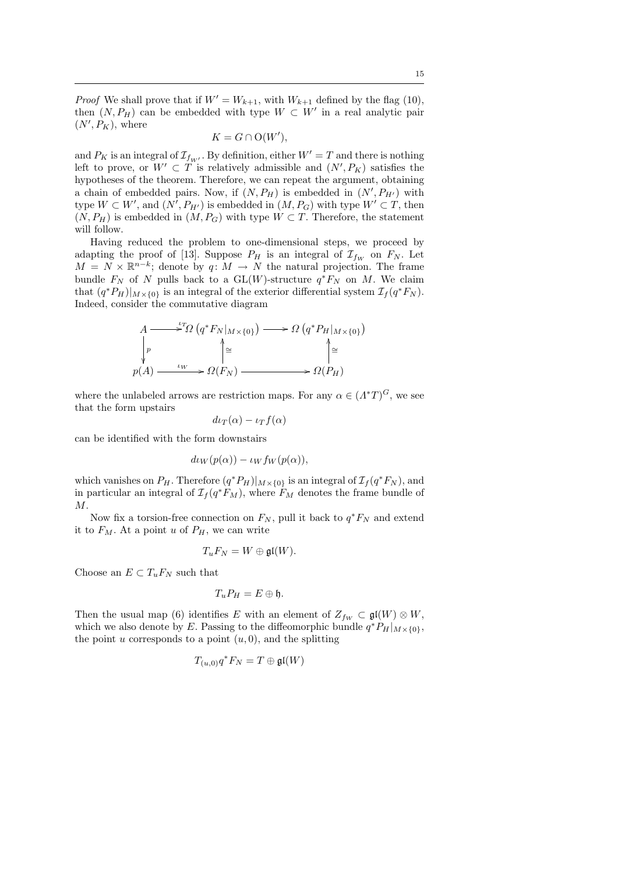*Proof* We shall prove that if  $W' = W_{k+1}$ , with  $W_{k+1}$  defined by the flag (10), then  $(N, P_H)$  can be embedded with type  $W \subset W'$  in a real analytic pair  $(N', P_K)$ , where

$$
K = G \cap O(W'),
$$

and  $P_K$  is an integral of  $\mathcal{I}_{f_W}$ . By definition, either  $W'=T$  and there is nothing left to prove, or  $W' \subset T$  is relatively admissible and  $(N', P_K)$  satisfies the hypotheses of the theorem. Therefore, we can repeat the argument, obtaining a chain of embedded pairs. Now, if  $(N, P_H)$  is embedded in  $(N', P_{H'})$  with type  $W \subset W'$ , and  $(N', P_{H'})$  is embedded in  $(M, P_G)$  with type  $W' \subset T$ , then  $(N, P_H)$  is embedded in  $(M, P_G)$  with type  $W \subset T$ . Therefore, the statement will follow.

Having reduced the problem to one-dimensional steps, we proceed by adapting the proof of [13]. Suppose  $P_H$  is an integral of  $\mathcal{I}_{fw}$  on  $F_N$ . Let  $M = N \times \mathbb{R}^{n-k}$ ; denote by  $q: M \to N$  the natural projection. The frame bundle  $F_N$  of N pulls back to a GL(W)-structure  $q^*F_N$  on M. We claim that  $(q^*P_H)|_{M\times\{0\}}$  is an integral of the exterior differential system  $\mathcal{I}_f(q^*F_N)$ . Indeed, consider the commutative diagram

$$
A \longrightarrow^{L} \Omega \left( q^* F_N |_{M \times \{0\}} \right) \longrightarrow \Omega \left( q^* P_H |_{M \times \{0\}} \right)
$$
  
\n
$$
\downarrow p
$$
  
\n
$$
p(A) \longrightarrow \Omega(F_N) \longrightarrow \Omega(F_H)
$$
  
\n
$$
\downarrow \cong
$$
  
\n
$$
\downarrow p
$$

where the unlabeled arrows are restriction maps. For any  $\alpha \in (\Lambda^*T)^G$ , we see that the form upstairs

$$
d\iota_T(\alpha) - \iota_T f(\alpha)
$$

can be identified with the form downstairs

$$
d\iota_W(p(\alpha)) - \iota_W f_W(p(\alpha)),
$$

which vanishes on  $P_H$ . Therefore  $(q^*P_H)|_{M \times \{0\}}$  is an integral of  $\mathcal{I}_f(q^*F_N)$ , and in particular an integral of  $\mathcal{I}_f(q^*F_M)$ , where  $F_M$  denotes the frame bundle of M.

Now fix a torsion-free connection on  $F_N$ , pull it back to  $q^*F_N$  and extend it to  $F_M$ . At a point u of  $P_H$ , we can write

$$
T_uF_N=W\oplus \mathfrak{gl}(W).
$$

Choose an  $E \subset T_uF_N$  such that

$$
T_u P_H = E \oplus \mathfrak{h}.
$$

Then the usual map (6) identifies E with an element of  $Z_{fw} \subset \mathfrak{gl}(W) \otimes W$ , which we also denote by E. Passing to the diffeomorphic bundle  $q^*P_H|_{M\times\{0\}}$ , the point u corresponds to a point  $(u, 0)$ , and the splitting

$$
T_{(u,0)}q^*F_N = T \oplus \mathfrak{gl}(W)
$$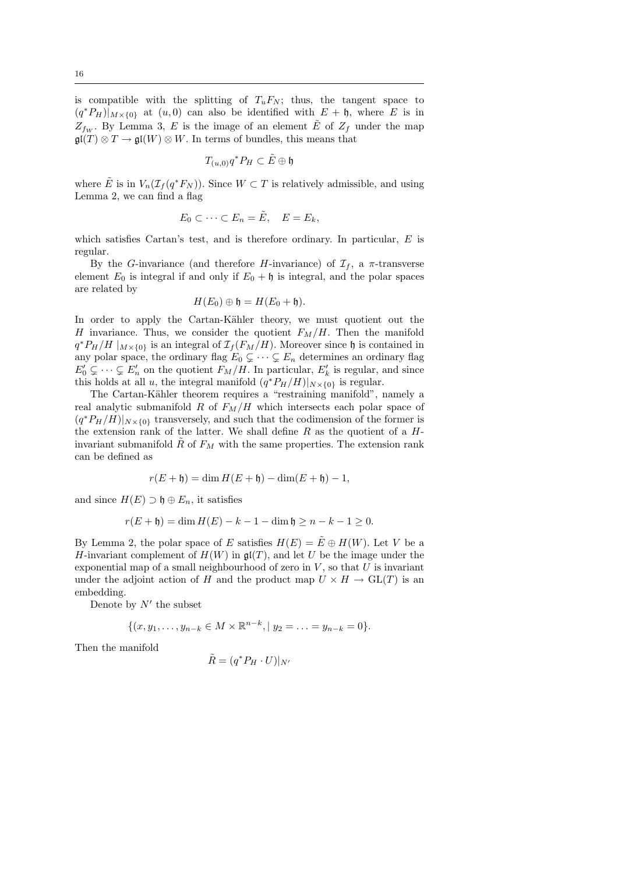is compatible with the splitting of  $T_uF_N$ ; thus, the tangent space to  $(q^*P_H)|_{M\times\{0\}}$  at  $(u,0)$  can also be identified with  $E + \mathfrak{h}$ , where E is in  $Z_{fw}$ . By Lemma 3, E is the image of an element E of  $Z_f$  under the map  $\mathfrak{gl}(T)\otimes T\to \mathfrak{gl}(W)\otimes W$ . In terms of bundles, this means that

$$
T_{(u,0)}q^*P_H\subset \tilde E\oplus\mathfrak{h}
$$

where  $\tilde{E}$  is in  $V_n(\mathcal{I}_f(q^*F_N))$ . Since  $W \subset T$  is relatively admissible, and using Lemma 2, we can find a flag

$$
E_0 \subset \cdots \subset E_n = \tilde{E}, \quad E = E_k,
$$

which satisfies Cartan's test, and is therefore ordinary. In particular, E is regular.

By the G-invariance (and therefore H-invariance) of  $\mathcal{I}_f$ , a  $\pi$ -transverse element  $E_0$  is integral if and only if  $E_0 + \mathfrak{h}$  is integral, and the polar spaces are related by

$$
H(E_0)\oplus \mathfrak{h}=H(E_0+\mathfrak{h}).
$$

In order to apply the Cartan-Kähler theory, we must quotient out the H invariance. Thus, we consider the quotient  $F_M/H$ . Then the manifold  $q^*P_H/H \mid_{M \times \{0\}}$  is an integral of  $\mathcal{I}_f(F_M/H)$ . Moreover since h is contained in any polar space, the ordinary flag  $E_0 \subsetneq \cdots \subsetneq E_n$  determines an ordinary flag  $E_0' \subsetneq \cdots \subsetneq E_n'$  on the quotient  $F_M/H$ . In particular,  $E_k'$  is regular, and since this holds at all u, the integral manifold  $(q^*P_H/H)|_{N\times\{0\}}$  is regular.

The Cartan-Kähler theorem requires a "restraining manifold", namely a real analytic submanifold R of  $F_M/H$  which intersects each polar space of  $(q^*P_H/H)|_{N\times\{0\}}$  transversely, and such that the codimension of the former is the extension rank of the latter. We shall define  $R$  as the quotient of a  $H$ invariant submanifold  $R$  of  $F_M$  with the same properties. The extension rank can be defined as

$$
r(E + \mathfrak{h}) = \dim H(E + \mathfrak{h}) - \dim(E + \mathfrak{h}) - 1,
$$

and since  $H(E) \supset \mathfrak{h} \oplus E_n$ , it satisfies

$$
r(E + \mathfrak{h}) = \dim H(E) - k - 1 - \dim \mathfrak{h} \ge n - k - 1 \ge 0.
$$

By Lemma 2, the polar space of E satisfies  $H(E) = \tilde{E} \oplus H(W)$ . Let V be a H-invariant complement of  $H(W)$  in  $\mathfrak{gl}(T)$ , and let U be the image under the exponential map of a small neighbourhood of zero in  $V$ , so that  $U$  is invariant under the adjoint action of H and the product map  $U \times H \to GL(T)$  is an embedding.

Denote by  $N'$  the subset

$$
\{(x,y_1,\ldots,y_{n-k}\in M\times\mathbb{R}^{n-k},|y_2=\ldots=y_{n-k}=0\}.
$$

Then the manifold

$$
\tilde{\mathcal{X}} = (q^* P_H \cdot U)|_{N'}
$$

 $\hat{I}$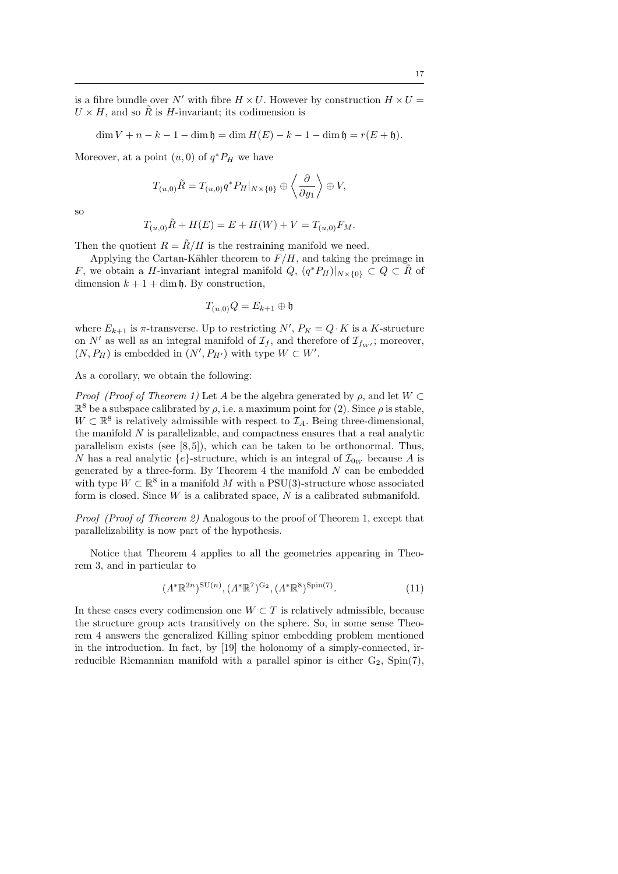is a fibre bundle over N' with fibre  $H \times U$ . However by construction  $H \times U =$  $U \times H$ , and so  $\tilde{R}$  is H-invariant; its codimension is

$$
\dim V + n - k - 1 - \dim \mathfrak{h} = \dim H(E) - k - 1 - \dim \mathfrak{h} = r(E + \mathfrak{h}).
$$

Moreover, at a point  $(u, 0)$  of  $q^*P_H$  we have

$$
T_{(u,0)}\tilde{R}=T_{(u,0)}q^*P_H|_{N\times\{0\}}\oplus \left\langle \frac{\partial}{\partial y_1}\right\rangle \oplus V,
$$

so

$$
T_{(u,0)}\tilde{R} + H(E) = E + H(W) + V = T_{(u,0)}F_M.
$$

Then the quotient  $R = \tilde{R}/H$  is the restraining manifold we need.

Applying the Cartan-Kähler theorem to  $F/H$ , and taking the preimage in F, we obtain a H-invariant integral manifold  $Q, (q^*P_H)|_{N\times\{0\}} \subset Q \subset \tilde{R}$  of dimension  $k + 1 + \dim \mathfrak{h}$ . By construction,

$$
T_{(u,0)}Q = E_{k+1} \oplus \mathfrak{h}
$$

where  $E_{k+1}$  is  $\pi$ -transverse. Up to restricting  $N', P_K = Q \cdot K$  is a K-structure on  $N'$  as well as an integral manifold of  $\mathcal{I}_f$ , and therefore of  $\mathcal{I}_{f_W}$ ; moreover,  $(N, P_H)$  is embedded in  $(N', P_{H'})$  with type  $W \subset W'$ .

As a corollary, we obtain the following:

*Proof (Proof of Theorem 1)* Let A be the algebra generated by  $\rho$ , and let  $W \subset$  $\mathbb{R}^8$  be a subspace calibrated by  $\rho$ , i.e. a maximum point for (2). Since  $\rho$  is stable,  $W \subset \mathbb{R}^8$  is relatively admissible with respect to  $\mathcal{I}_A$ . Being three-dimensional, the manifold  $N$  is parallelizable, and compactness ensures that a real analytic parallelism exists (see  $[8, 5]$ ), which can be taken to be orthonormal. Thus, N has a real analytic  ${e}$ -structure, which is an integral of  $\mathcal{I}_{0_W}$  because A is generated by a three-form. By Theorem 4 the manifold  $N$  can be embedded with type  $W \subset \mathbb{R}^8$  in a manifold M with a PSU(3)-structure whose associated form is closed. Since  $W$  is a calibrated space,  $N$  is a calibrated submanifold.

Proof (Proof of Theorem 2) Analogous to the proof of Theorem 1, except that parallelizability is now part of the hypothesis.

Notice that Theorem 4 applies to all the geometries appearing in Theorem 3, and in particular to

$$
(\Lambda^*\mathbb{R}^{2n})^{\text{SU}(n)}, (\Lambda^*\mathbb{R}^7)^{\text{G}_2}, (\Lambda^*\mathbb{R}^8)^{\text{Spin}(7)}. \tag{11}
$$

In these cases every codimension one  $W \subset T$  is relatively admissible, because the structure group acts transitively on the sphere. So, in some sense Theorem 4 answers the generalized Killing spinor embedding problem mentioned in the introduction. In fact, by [19] the holonomy of a simply-connected, irreducible Riemannian manifold with a parallel spinor is either  $G_2$ ,  $Spin(7)$ ,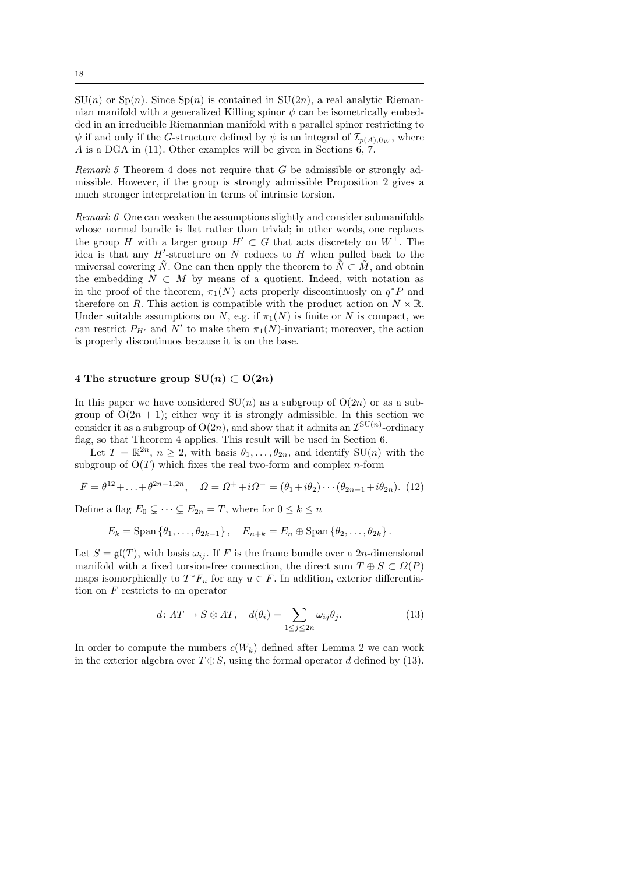$SU(n)$  or  $Sp(n)$ . Since  $Sp(n)$  is contained in  $SU(2n)$ , a real analytic Riemannian manifold with a generalized Killing spinor  $\psi$  can be isometrically embedded in an irreducible Riemannian manifold with a parallel spinor restricting to  $\psi$  if and only if the G-structure defined by  $\psi$  is an integral of  $\mathcal{I}_{p(A),0_W}$ , where A is a DGA in (11). Other examples will be given in Sections  $6, 7$ .

*Remark 5* Theorem 4 does not require that G be admissible or strongly admissible. However, if the group is strongly admissible Proposition 2 gives a much stronger interpretation in terms of intrinsic torsion.

Remark 6 One can weaken the assumptions slightly and consider submanifolds whose normal bundle is flat rather than trivial; in other words, one replaces the group H with a larger group  $H' \subset G$  that acts discretely on  $W^{\perp}$ . The idea is that any  $H'$ -structure on  $N$  reduces to  $H$  when pulled back to the universal covering  $\tilde{N}$ . One can then apply the theorem to  $\tilde{N} \subset \tilde{M}$ , and obtain the embedding  $N \subset M$  by means of a quotient. Indeed, with notation as in the proof of the theorem,  $\pi_1(N)$  acts properly discontinuosly on  $q^*P$  and therefore on R. This action is compatible with the product action on  $N \times \mathbb{R}$ . Under suitable assumptions on N, e.g. if  $\pi_1(N)$  is finite or N is compact, we can restrict  $P_{H'}$  and N' to make them  $\pi_1(N)$ -invariant; moreover, the action is properly discontinuos because it is on the base.

## 4 The structure group  $SU(n) \subset O(2n)$

In this paper we have considered  $SU(n)$  as a subgroup of  $O(2n)$  or as a subgroup of  $O(2n + 1)$ ; either way it is strongly admissible. In this section we consider it as a subgroup of  $O(2n)$ , and show that it admits an  $\mathcal{I}^{\text{SU}(n)}$ -ordinary flag, so that Theorem 4 applies. This result will be used in Section 6.

Let  $T = \mathbb{R}^{2n}$ ,  $n \geq 2$ , with basis  $\theta_1, \ldots, \theta_{2n}$ , and identify  $SU(n)$  with the subgroup of  $O(T)$  which fixes the real two-form and complex *n*-form

$$
F = \theta^{12} + \ldots + \theta^{2n-1,2n}, \quad \Omega = \Omega^+ + i\Omega^- = (\theta_1 + i\theta_2) \cdots (\theta_{2n-1} + i\theta_{2n}). \tag{12}
$$

Define a flag  $E_0 \subsetneq \cdots \subsetneq E_{2n} = T$ , where for  $0 \leq k \leq n$ 

$$
E_k = \text{Span}\left\{\theta_1,\ldots,\theta_{2k-1}\right\}, \quad E_{n+k} = E_n \oplus \text{Span}\left\{\theta_2,\ldots,\theta_{2k}\right\}.
$$

Let  $S = \mathfrak{gl}(T)$ , with basis  $\omega_{ij}$ . If F is the frame bundle over a 2n-dimensional manifold with a fixed torsion-free connection, the direct sum  $T \oplus S \subset \Omega(P)$ maps isomorphically to  $T^*F_u$  for any  $u \in F$ . In addition, exterior differentiation on F restricts to an operator

$$
d: \Lambda T \to S \otimes \Lambda T, \quad d(\theta_i) = \sum_{1 \le j \le 2n} \omega_{ij} \theta_j. \tag{13}
$$

In order to compute the numbers  $c(W_k)$  defined after Lemma 2 we can work in the exterior algebra over  $T \oplus S$ , using the formal operator d defined by (13).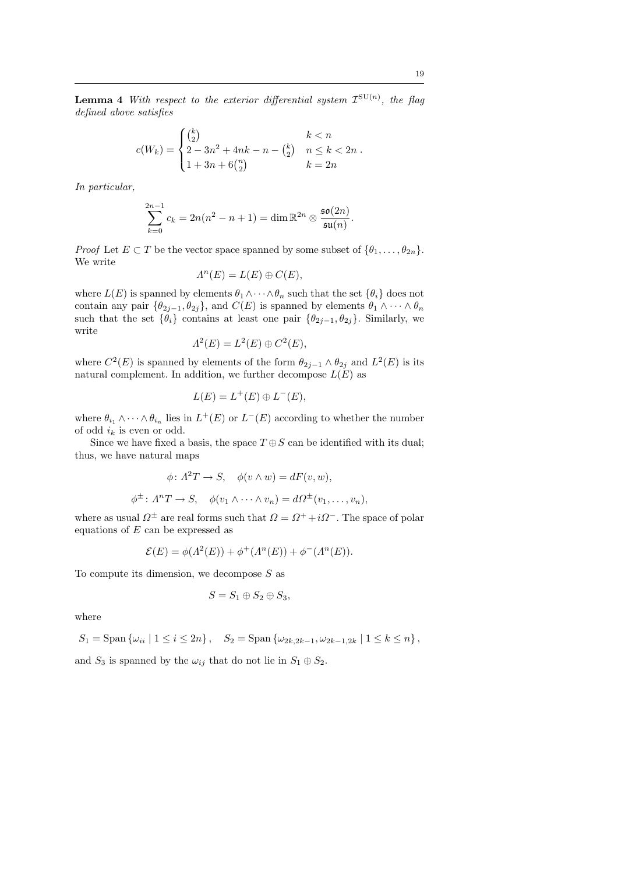**Lemma 4** With respect to the exterior differential system  $\mathcal{I}^{\text{SU}(n)}$ , the flag defined above satisfies

$$
c(W_k) = \begin{cases} {k \choose 2} & k < n \\ 2 - 3n^2 + 4nk - n - {k \choose 2} & n \le k < 2n \\ 1 + 3n + 6{n \choose 2} & k = 2n \end{cases}.
$$

In particular,

$$
\sum_{k=0}^{2n-1} c_k = 2n(n^2 - n + 1) = \dim \mathbb{R}^{2n} \otimes \frac{\mathfrak{so}(2n)}{\mathfrak{su}(n)}.
$$

*Proof* Let  $E \subset T$  be the vector space spanned by some subset of  $\{\theta_1, \ldots, \theta_{2n}\}.$ We write

$$
\Lambda^{n}(E) = L(E) \oplus C(E),
$$

where  $L(E)$  is spanned by elements  $\theta_1 \wedge \cdots \wedge \theta_n$  such that the set  $\{\theta_i\}$  does not contain any pair  $\{\theta_{2j-1}, \theta_{2j}\}$ , and  $C(E)$  is spanned by elements  $\theta_1 \wedge \cdots \wedge \theta_n$ such that the set  $\{\hat{\theta}_i\}$  contains at least one pair  $\{\theta_{2j-1}, \theta_{2j}\}$ . Similarly, we write

$$
\Lambda^2(E) = L^2(E) \oplus C^2(E),
$$

where  $C^2(E)$  is spanned by elements of the form  $\theta_{2j-1} \wedge \theta_{2j}$  and  $L^2(E)$  is its natural complement. In addition, we further decompose  $L(E)$  as

$$
L(E) = L^+(E) \oplus L^-(E),
$$

where  $\theta_{i_1} \wedge \cdots \wedge \theta_{i_n}$  lies in  $L^+(E)$  or  $L^-(E)$  according to whether the number of odd  $i_k$  is even or odd.

Since we have fixed a basis, the space  $T \oplus S$  can be identified with its dual; thus, we have natural maps

$$
\phi \colon A^2T \to S, \quad \phi(v \wedge w) = dF(v, w),
$$
  

$$
\phi^{\pm} \colon A^nT \to S, \quad \phi(v_1 \wedge \dots \wedge v_n) = d\Omega^{\pm}(v_1, \dots, v_n),
$$

where as usual  $\Omega^{\pm}$  are real forms such that  $\Omega = \Omega^+ + i\Omega^-$ . The space of polar equations of  $E$  can be expressed as

$$
\mathcal{E}(E) = \phi(\Lambda^{2}(E)) + \phi^{+}(\Lambda^{n}(E)) + \phi^{-}(\Lambda^{n}(E)).
$$

To compute its dimension, we decompose  $S$  as

$$
S = S_1 \oplus S_2 \oplus S_3,
$$

where

$$
S_1 = \text{Span } \{ \omega_{ii} \mid 1 \le i \le 2n \}, \quad S_2 = \text{Span } \{ \omega_{2k, 2k-1}, \omega_{2k-1, 2k} \mid 1 \le k \le n \},
$$
  
and  $S_3$  is spanned by the  $\omega_{ij}$  that do not lie in  $S_1 \oplus S_2$ .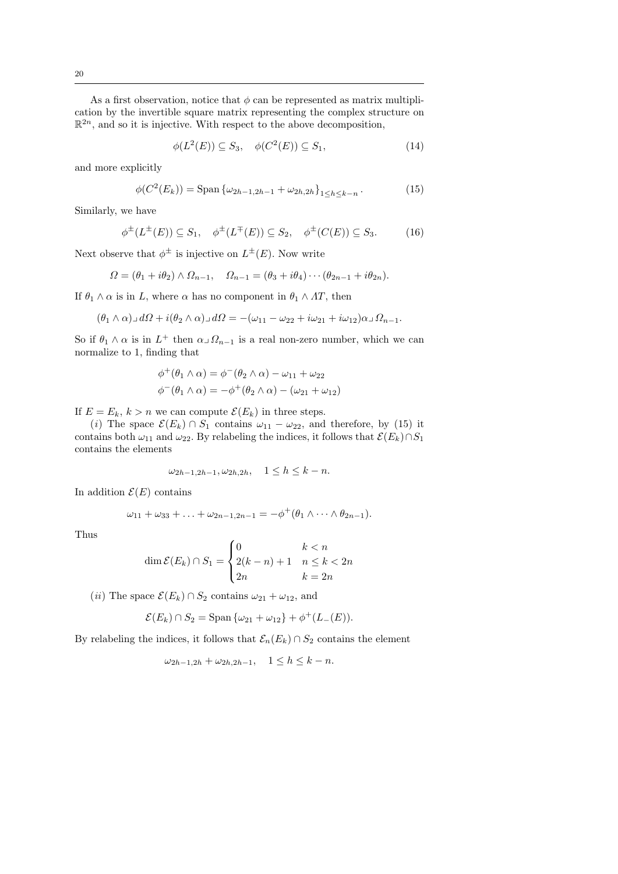As a first observation, notice that  $\phi$  can be represented as matrix multiplication by the invertible square matrix representing the complex structure on  $\mathbb{R}^{2n}$ , and so it is injective. With respect to the above decomposition,

$$
\phi(L^2(E)) \subseteq S_3, \quad \phi(C^2(E)) \subseteq S_1,\tag{14}
$$

and more explicitly

$$
\phi(C^2(E_k)) = \text{Span}\left\{\omega_{2h-1,2h-1} + \omega_{2h,2h}\right\}_{1 \le h \le k-n}.
$$
\n(15)

Similarly, we have

$$
\phi^{\pm}(L^{\pm}(E)) \subseteq S_1, \quad \phi^{\pm}(L^{\mp}(E)) \subseteq S_2, \quad \phi^{\pm}(C(E)) \subseteq S_3.
$$
 (16)

Next observe that  $\phi^{\pm}$  is injective on  $L^{\pm}(E)$ . Now write

$$
\Omega = (\theta_1 + i\theta_2) \wedge \Omega_{n-1}, \quad \Omega_{n-1} = (\theta_3 + i\theta_4) \cdots (\theta_{2n-1} + i\theta_{2n}).
$$

If  $\theta_1 \wedge \alpha$  is in L, where  $\alpha$  has no component in  $\theta_1 \wedge \Lambda T$ , then

$$
(\theta_1 \wedge \alpha) \Box d\Omega + i(\theta_2 \wedge \alpha) \Box d\Omega = -(\omega_{11} - \omega_{22} + i\omega_{21} + i\omega_{12})\alpha \Box \Omega_{n-1}.
$$

So if  $\theta_1 \wedge \alpha$  is in  $L^+$  then  $\alpha \Box \Omega_{n-1}$  is a real non-zero number, which we can normalize to 1, finding that

$$
\phi^+(\theta_1 \wedge \alpha) = \phi^-(\theta_2 \wedge \alpha) - \omega_{11} + \omega_{22}
$$
  

$$
\phi^-(\theta_1 \wedge \alpha) = -\phi^+(\theta_2 \wedge \alpha) - (\omega_{21} + \omega_{12})
$$

If  $E = E_k$ ,  $k > n$  we can compute  $\mathcal{E}(E_k)$  in three steps.

(i) The space  $\mathcal{E}(E_k) \cap S_1$  contains  $\omega_{11} - \omega_{22}$ , and therefore, by (15) it contains both  $\omega_{11}$  and  $\omega_{22}$ . By relabeling the indices, it follows that  $\mathcal{E}(E_k) \cap S_1$ contains the elements

$$
\omega_{2h-1,2h-1}, \omega_{2h,2h}, \quad 1 \le h \le k - n.
$$

In addition  $\mathcal{E}(E)$  contains

$$
\omega_{11}+\omega_{33}+\ldots+\omega_{2n-1,2n-1}=-\phi^+(\theta_1\wedge\cdots\wedge\theta_{2n-1}).
$$

Thus

$$
\dim \mathcal{E}(E_k) \cap S_1 = \begin{cases} 0 & k < n \\ 2(k-n) + 1 & n \le k < 2n \\ 2n & k = 2n \end{cases}
$$

(*ii*) The space  $\mathcal{E}(E_k) \cap S_2$  contains  $\omega_{21} + \omega_{12}$ , and

$$
\mathcal{E}(E_k) \cap S_2 = \text{Span} \{ \omega_{21} + \omega_{12} \} + \phi^+(L_-(E)).
$$

By relabeling the indices, it follows that  $\mathcal{E}_n(E_k) \cap S_2$  contains the element

$$
\omega_{2h-1,2h} + \omega_{2h,2h-1}, \quad 1 \le h \le k - n.
$$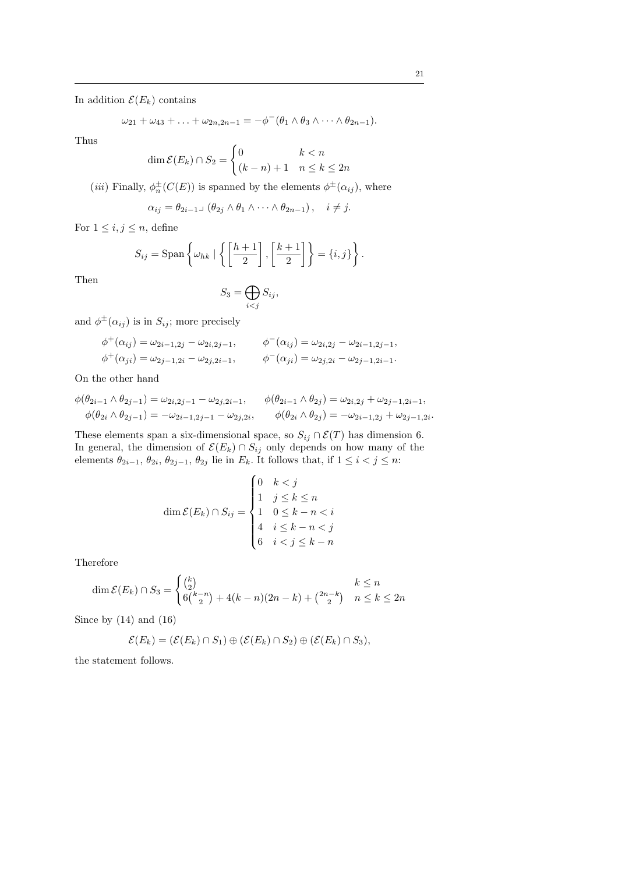In addition  $\mathcal{E}(E_k)$  contains

$$
\omega_{21} + \omega_{43} + \ldots + \omega_{2n,2n-1} = -\phi^-(\theta_1 \wedge \theta_3 \wedge \cdots \wedge \theta_{2n-1}).
$$

Thus

$$
\dim \mathcal{E}(E_k) \cap S_2 = \begin{cases} 0 & k < n \\ (k-n)+1 & n \le k \le 2n \end{cases}
$$

(*iii*) Finally,  $\phi_n^{\pm}(C(E))$  is spanned by the elements  $\phi^{\pm}(\alpha_{ij})$ , where

$$
\alpha_{ij} = \theta_{2i-1} \cup (\theta_{2j} \wedge \theta_1 \wedge \cdots \wedge \theta_{2n-1}), \quad i \neq j.
$$

For  $1 \leq i, j \leq n$ , define

$$
S_{ij} = \text{Span}\left\{\omega_{hk} \mid \left\{ \left[\frac{h+1}{2}\right], \left[\frac{k+1}{2}\right] \right\} = \{i, j\} \right\}.
$$

Then

$$
S_3 = \bigoplus_{i < j} S_{ij},
$$

and  $\phi^{\pm}(\alpha_{ij})$  is in  $S_{ij}$ ; more precisely

$$
\begin{aligned}\n\phi^+(\alpha_{ij}) &= \omega_{2i-1,2j} - \omega_{2i,2j-1}, & \phi^-(\alpha_{ij}) &= \omega_{2i,2j} - \omega_{2i-1,2j-1}, \\
\phi^+(\alpha_{ji}) &= \omega_{2j-1,2i} - \omega_{2j,2i-1}, & \phi^-(\alpha_{ji}) &= \omega_{2j,2i} - \omega_{2j-1,2i-1}.\n\end{aligned}
$$

On the other hand

$$
\phi(\theta_{2i-1} \wedge \theta_{2j-1}) = \omega_{2i,2j-1} - \omega_{2j,2i-1}, \qquad \phi(\theta_{2i-1} \wedge \theta_{2j}) = \omega_{2i,2j} + \omega_{2j-1,2i-1}, \phi(\theta_{2i} \wedge \theta_{2j-1}) = -\omega_{2i-1,2j-1} - \omega_{2j,2i}, \qquad \phi(\theta_{2i} \wedge \theta_{2j}) = -\omega_{2i-1,2j} + \omega_{2j-1,2i}.
$$

These elements span a six-dimensional space, so  $S_{ij} \cap \mathcal{E}(T)$  has dimension 6. In general, the dimension of  $\mathcal{E}(E_k) \cap S_{ij}$  only depends on how many of the elements  $\theta_{2i-1}, \theta_{2i}, \theta_{2j-1}, \theta_{2j}$  lie in  $E_k$ . It follows that, if  $1 \leq i < j \leq n$ :

$$
\dim \mathcal{E}(E_k) \cap S_{ij} = \begin{cases} 0 & k < j \\ 1 & j \le k \le n \\ 1 & 0 \le k - n < i \\ 4 & i \le k - n < j \\ 6 & i < j \le k - n \end{cases}
$$

Therefore

$$
\dim \mathcal{E}(E_k) \cap S_3 = \begin{cases} {k \choose 2} & k \le n \\ 6{k-n \choose 2} + 4(k-n)(2n-k) + {2n-k \choose 2} & n \le k \le 2n \end{cases}
$$

Since by (14) and (16)

$$
\mathcal{E}(E_k) = (\mathcal{E}(E_k) \cap S_1) \oplus (\mathcal{E}(E_k) \cap S_2) \oplus (\mathcal{E}(E_k) \cap S_3),
$$

the statement follows.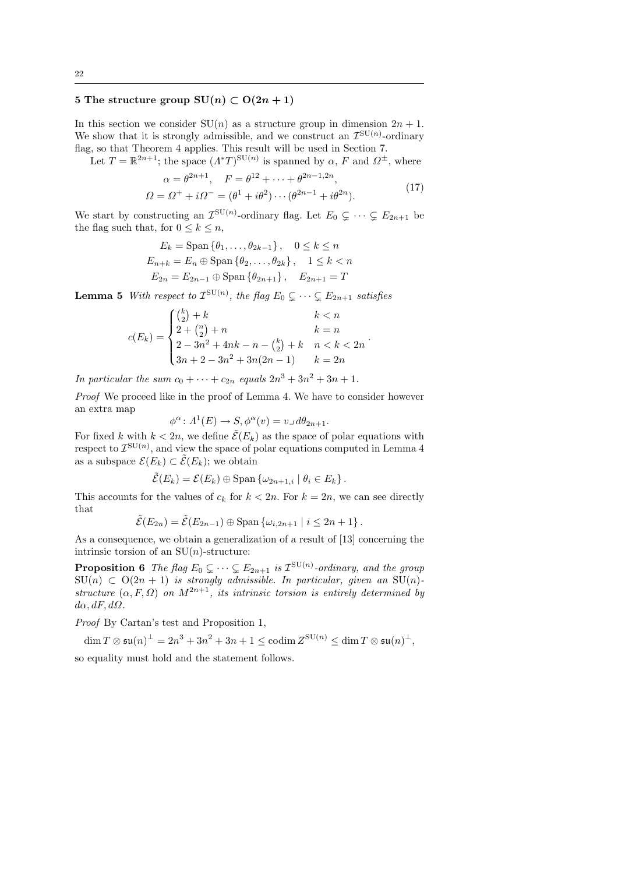# 5 The structure group  $SU(n) \subset O(2n+1)$

In this section we consider  $SU(n)$  as a structure group in dimension  $2n + 1$ . We show that it is strongly admissible, and we construct an  $\mathcal{I}^{\text{SU}(n)}$ -ordinary flag, so that Theorem 4 applies. This result will be used in Section 7.

Let  $T = \mathbb{R}^{2n+1}$ ; the space  $(\Lambda^* T)^{\text{SU}(n)}$  is spanned by  $\alpha$ , F and  $\Omega^{\pm}$ , where

$$
\alpha = \theta^{2n+1}, \quad F = \theta^{12} + \dots + \theta^{2n-1,2n},
$$
  

$$
\Omega = \Omega^+ + i\Omega^- = (\theta^1 + i\theta^2) \dots (\theta^{2n-1} + i\theta^{2n}).
$$
 (17)

2n−1,2n

.

We start by constructing an  $\mathcal{I}^{\text{SU}(n)}$ -ordinary flag. Let  $E_0 \subsetneq \cdots \subsetneq E_{2n+1}$  be the flag such that, for  $0 \leq k \leq n$ ,

$$
E_k = \text{Span}\{\theta_1, \dots, \theta_{2k-1}\}, \quad 0 \le k \le n
$$
  

$$
E_{n+k} = E_n \oplus \text{Span}\{\theta_2, \dots, \theta_{2k}\}, \quad 1 \le k < n
$$
  

$$
E_{2n} = E_{2n-1} \oplus \text{Span}\{\theta_{2n+1}\}, \quad E_{2n+1} = T
$$

**Lemma 5** With respect to  $\mathcal{I}^{\text{SU}(n)}$ , the flag  $E_0 \subsetneq \cdots \subsetneq E_{2n+1}$  satisfies

$$
c(E_k) = \begin{cases} {k \choose 2} + k & k < n \\ 2 + {n \choose 2} + n & k = n \\ 2 - 3n^2 + 4nk - n - {k \choose 2} + k & n < k < 2n \\ 3n + 2 - 3n^2 + 3n(2n - 1) & k = 2n \end{cases}
$$

In particular the sum  $c_0 + \cdots + c_{2n}$  equals  $2n^3 + 3n^2 + 3n + 1$ .

Proof We proceed like in the proof of Lemma 4. We have to consider however an extra map

$$
\phi^{\alpha} \colon A^{1}(E) \to S, \phi^{\alpha}(v) = v \text{ and } d\theta_{2n+1}.
$$

For fixed k with  $k < 2n$ , we define  $\tilde{\mathcal{E}}(E_k)$  as the space of polar equations with respect to  $\mathcal{I}^{\text{SU}(n)}$ , and view the space of polar equations computed in Lemma 4 as a subspace  $\mathcal{E}(E_k) \subset \tilde{\mathcal{E}}(E_k)$ ; we obtain

$$
\tilde{\mathcal{E}}(E_k) = \mathcal{E}(E_k) \oplus \text{Span}\left\{\omega_{2n+1,i} \mid \theta_i \in E_k\right\}.
$$

This accounts for the values of  $c_k$  for  $k < 2n$ . For  $k = 2n$ , we can see directly that

$$
\tilde{\mathcal{E}}(E_{2n}) = \tilde{\mathcal{E}}(E_{2n-1}) \oplus \text{Span}\left\{\omega_{i,2n+1} \mid i \leq 2n+1\right\}.
$$

As a consequence, we obtain a generalization of a result of [13] concerning the intrinsic torsion of an  $SU(n)$ -structure:

**Proposition 6** The flag  $E_0 \subsetneq \cdots \subsetneq E_{2n+1}$  is  $\mathcal{I}^{\text{SU}(n)}$ -ordinary, and the group  $\text{SU}(n) \subset \text{O}(2n+1)$  is strongly admissible. In particular, given an  $\text{SU}(n)$ structure  $(\alpha, F, \Omega)$  on  $M^{2n+1}$ , its intrinsic torsion is entirely determined by  $d\alpha$ ,  $dF$ ,  $d\Omega$ .

Proof By Cartan's test and Proposition 1,

$$
\dim T \otimes \mathfrak{su}(n)^{\perp} = 2n^3 + 3n^2 + 3n + 1 \le \operatorname{codim} Z^{\operatorname{SU}(n)} \le \dim T \otimes \mathfrak{su}(n)^{\perp},
$$

so equality must hold and the statement follows.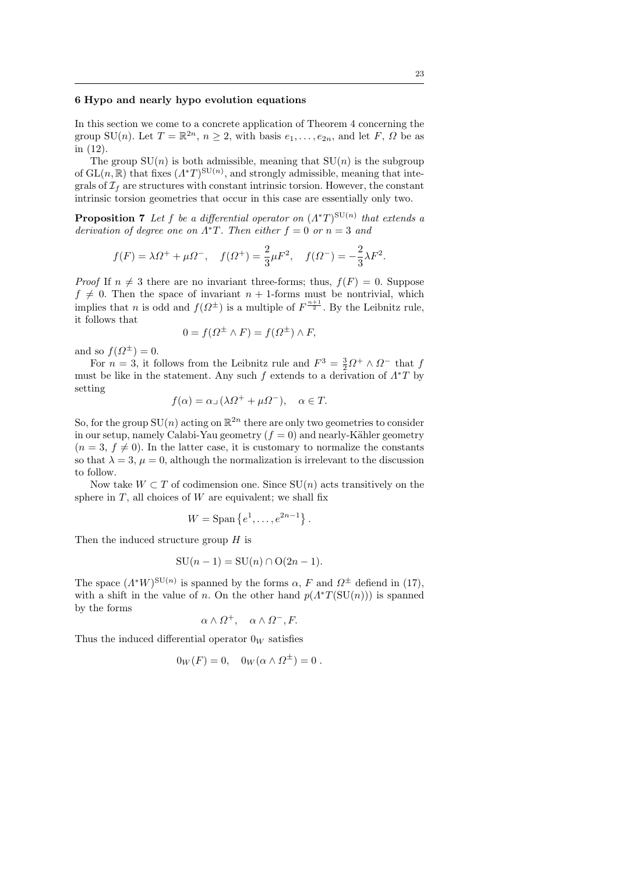#### 6 Hypo and nearly hypo evolution equations

In this section we come to a concrete application of Theorem 4 concerning the group SU(n). Let  $T = \mathbb{R}^{2n}$ ,  $n \geq 2$ , with basis  $e_1, \ldots, e_{2n}$ , and let F,  $\Omega$  be as in (12).

The group  $SU(n)$  is both admissible, meaning that  $SU(n)$  is the subgroup of  $GL(n,\mathbb{R})$  that fixes  $(\Lambda^*T)^{SU(n)}$ , and strongly admissible, meaning that integrals of  $\mathcal{I}_f$  are structures with constant intrinsic torsion. However, the constant intrinsic torsion geometries that occur in this case are essentially only two.

**Proposition 7** Let f be a differential operator on  $(\Lambda^*T)^{SU(n)}$  that extends a derivation of degree one on  $\Lambda^*T$ . Then either  $f = 0$  or  $n = 3$  and

$$
f(F) = \lambda \Omega^+ + \mu \Omega^-
$$
,  $f(\Omega^+) = \frac{2}{3} \mu F^2$ ,  $f(\Omega^-) = -\frac{2}{3} \lambda F^2$ .

*Proof* If  $n \neq 3$  there are no invariant three-forms; thus,  $f(F) = 0$ . Suppose  $f \neq 0$ . Then the space of invariant  $n + 1$ -forms must be nontrivial, which implies that n is odd and  $f(\Omega^{\pm})$  is a multiple of  $F^{\frac{n+1}{2}}$ . By the Leibnitz rule, it follows that

$$
0 = f(\Omega^{\pm} \wedge F) = f(\Omega^{\pm}) \wedge F,
$$

and so  $f(\Omega^{\pm})=0$ .

For  $n = 3$ , it follows from the Leibnitz rule and  $F^3 = \frac{3}{2}\Omega^+ \wedge \Omega^-$  that f must be like in the statement. Any such f extends to a derivation of  $\Lambda^*T$  by setting

$$
f(\alpha) = \alpha \Box (\lambda \Omega^+ + \mu \Omega^-), \quad \alpha \in T.
$$

So, for the group  $SU(n)$  acting on  $\mathbb{R}^{2n}$  there are only two geometries to consider in our setup, namely Calabi-Yau geometry  $(f = 0)$  and nearly-Kähler geometry  $(n = 3, f \neq 0)$ . In the latter case, it is customary to normalize the constants so that  $\lambda = 3$ ,  $\mu = 0$ , although the normalization is irrelevant to the discussion to follow.

Now take  $W \subset T$  of codimension one. Since  $SU(n)$  acts transitively on the sphere in  $T$ , all choices of  $W$  are equivalent; we shall fix

$$
W = \text{Span}\{e^1, \ldots, e^{2n-1}\}.
$$

Then the induced structure group  $H$  is

$$
SU(n-1) = SU(n) \cap O(2n-1).
$$

The space  $(\Lambda^* W)^{\text{SU}(n)}$  is spanned by the forms  $\alpha$ , F and  $\Omega^{\pm}$  defiend in (17), with a shift in the value of n. On the other hand  $p(A^*T(SU(n)))$  is spanned by the forms

$$
\alpha \wedge \Omega^+, \quad \alpha \wedge \Omega^-, F.
$$

Thus the induced differential operator  $0_W$  satisfies

$$
0_W(F) = 0, \quad 0_W(\alpha \wedge \Omega^{\pm}) = 0.
$$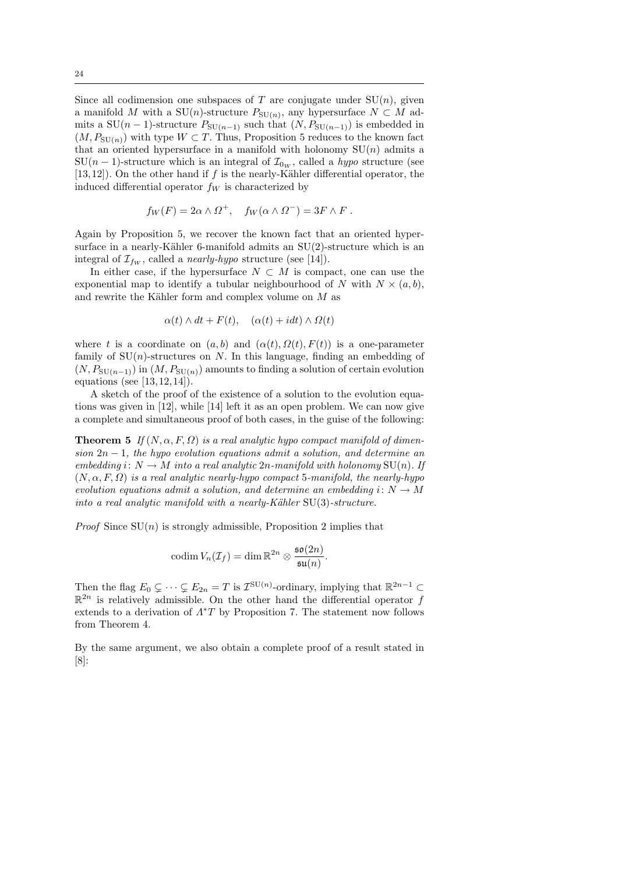Since all codimension one subspaces of T are conjugate under  $SU(n)$ , given a manifold M with a SU(n)-structure  $P_{\text{SU}(n)}$ , any hypersurface  $N \subset M$  admits a SU(n − 1)-structure  $P_{\text{SU}(n-1)}$  such that  $(N, P_{\text{SU}(n-1)})$  is embedded in  $(M, P_{SU(n)})$  with type  $W \subset T$ . Thus, Proposition 5 reduces to the known fact that an oriented hypersurface in a manifold with holonomy  $SU(n)$  admits a  $SU(n-1)$ -structure which is an integral of  $\mathcal{I}_{0w}$ , called a *hypo* structure (see [13,12]). On the other hand if  $f$  is the nearly-Kähler differential operator, the induced differential operator  $f_W$  is characterized by

$$
f_W(F) = 2\alpha \wedge \Omega^+, \quad f_W(\alpha \wedge \Omega^-) = 3F \wedge F.
$$

Again by Proposition 5, we recover the known fact that an oriented hypersurface in a nearly-Kähler 6-manifold admits an  $SU(2)$ -structure which is an integral of  $\mathcal{I}_{fw}$ , called a *nearly-hypo* structure (see [14]).

In either case, if the hypersurface  $N \subset M$  is compact, one can use the exponential map to identify a tubular neighbourhood of N with  $N \times (a, b)$ , and rewrite the Kähler form and complex volume on  $M$  as

$$
\alpha(t) \wedge dt + F(t), \quad (\alpha(t) + i dt) \wedge \Omega(t)
$$

where t is a coordinate on  $(a, b)$  and  $(\alpha(t), \Omega(t), F(t))$  is a one-parameter family of  $SU(n)$ -structures on N. In this language, finding an embedding of  $(N, P_{\text{SU}(n-1)})$  in  $(M, P_{\text{SU}(n)})$  amounts to finding a solution of certain evolution equations (see [13, 12, 14]).

A sketch of the proof of the existence of a solution to the evolution equations was given in [12], while [14] left it as an open problem. We can now give a complete and simultaneous proof of both cases, in the guise of the following:

**Theorem 5** If  $(N, \alpha, F, \Omega)$  is a real analytic hypo compact manifold of dimension  $2n-1$ , the hypo evolution equations admit a solution, and determine an embedding i:  $N \to M$  into a real analytic 2n-manifold with holonomy  $SU(n)$ . If  $(N, \alpha, F, \Omega)$  is a real analytic nearly-hypo compact 5-manifold, the nearly-hypo evolution equations admit a solution, and determine an embedding  $i: N \to M$ into a real analytic manifold with a nearly-Kähler  $SU(3)$ -structure.

*Proof* Since  $SU(n)$  is strongly admissible, Proposition 2 implies that

$$
\mathrm{codim}\, V_n(\mathcal{I}_f)=\dim \mathbb{R}^{2n}\otimes \frac{\mathfrak{so}(2n)}{\mathfrak{su}(n)}.
$$

Then the flag  $E_0 \subsetneq \cdots \subsetneq E_{2n} = T$  is  $\mathcal{I}^{\text{SU}(n)}$ -ordinary, implying that  $\mathbb{R}^{2n-1} \subset$  $\mathbb{R}^{2n}$  is relatively admissible. On the other hand the differential operator f extends to a derivation of  $\Lambda^*T$  by Proposition 7. The statement now follows from Theorem 4.

By the same argument, we also obtain a complete proof of a result stated in [8]: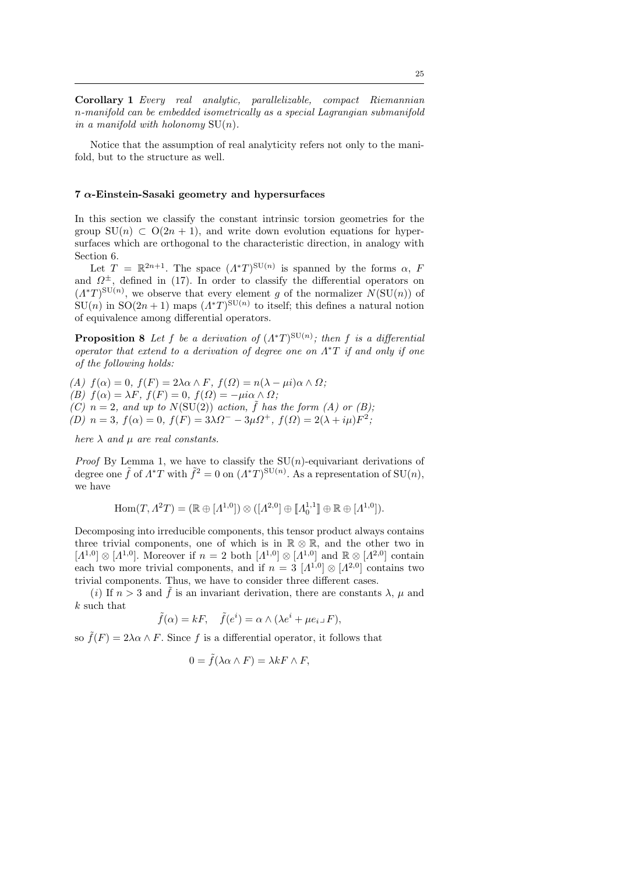Corollary 1 Every real analytic, parallelizable, compact Riemannian n-manifold can be embedded isometrically as a special Lagrangian submanifold in a manifold with holonomy  $SU(n)$ .

Notice that the assumption of real analyticity refers not only to the manifold, but to the structure as well.

#### $7 \alpha$ -Einstein-Sasaki geometry and hypersurfaces

In this section we classify the constant intrinsic torsion geometries for the group  $SU(n) \subset O(2n + 1)$ , and write down evolution equations for hypersurfaces which are orthogonal to the characteristic direction, in analogy with Section 6.

Let  $T = \mathbb{R}^{2n+1}$ . The space  $(\Lambda^*T)^{\text{SU}(n)}$  is spanned by the forms  $\alpha$ , F and  $\Omega^{\pm}$ , defined in (17). In order to classify the differential operators on  $(\Lambda^*T)^{\text{SU}(n)}$ , we observe that every element g of the normalizer  $N(\text{SU}(n))$  of  $SU(n)$  in  $SO(2n+1)$  maps  $(\Lambda^*T)^{SU(n)}$  to itself; this defines a natural notion of equivalence among differential operators.

**Proposition 8** Let f be a derivation of  $(\Lambda^*T)^{SU(n)}$ ; then f is a differential operator that extend to a derivation of degree one on  $\Lambda^*T$  if and only if one of the following holds:

(A)  $f(\alpha) = 0$ ,  $f(F) = 2\lambda \alpha \wedge F$ ,  $f(\Omega) = n(\lambda - \mu i) \alpha \wedge \Omega$ ; (B)  $f(\alpha) = \lambda F$ ,  $f(F) = 0$ ,  $f(\Omega) = -\mu i \alpha \wedge \Omega$ ; (C)  $n = 2$ , and up to  $N(SU(2))$  action,  $\tilde{f}$  has the form (A) or (B); (D)  $n = 3$ ,  $f(\alpha) = 0$ ,  $f(F) = 3\lambda \Omega^- - 3\mu \Omega^+$ ,  $f(\Omega) = 2(\lambda + i\mu)F^2$ ;

here  $\lambda$  and  $\mu$  are real constants.

*Proof* By Lemma 1, we have to classify the  $SU(n)$ -equivariant derivations of degree one  $\tilde{f}$  of  $\Lambda^*T$  with  $\tilde{f}^2 = 0$  on  $(\Lambda^*T)^{\text{SU}(n)}$ . As a representation of  $\text{SU}(n)$ , we have

$$
Hom(T, \Lambda^2 T) = (\mathbb{R} \oplus [\Lambda^{1,0}]) \otimes ([\Lambda^{2,0}] \oplus [\![\Lambda^{1,1}_0]\!] \oplus \mathbb{R} \oplus [\Lambda^{1,0}]).
$$

Decomposing into irreducible components, this tensor product always contains three trivial components, one of which is in  $\mathbb{R} \otimes \mathbb{R}$ , and the other two in  $[A^{1,0}]\otimes[A^{1,0}]$ . Moreover if  $n=2$  both  $[A^{1,0}]\otimes[A^{1,0}]$  and  $\mathbb{R}\otimes[A^{2,0}]$  contain each two more trivial components, and if  $n = 3 \; [A^{1,0}] \otimes [A^{2,0}]$  contains two trivial components. Thus, we have to consider three different cases.

(i) If  $n > 3$  and  $\hat{f}$  is an invariant derivation, there are constants  $\lambda$ ,  $\mu$  and  $k$  such that  $% \left( \mathcal{N}_{1}\right)$ 

$$
\tilde{f}(\alpha) = kF, \quad \tilde{f}(e^i) = \alpha \wedge (\lambda e^i + \mu e_i \square F),
$$

so  $\tilde{f}(F) = 2\lambda \alpha \wedge F$ . Since f is a differential operator, it follows that

$$
0 = \tilde{f}(\lambda \alpha \wedge F) = \lambda k F \wedge F,
$$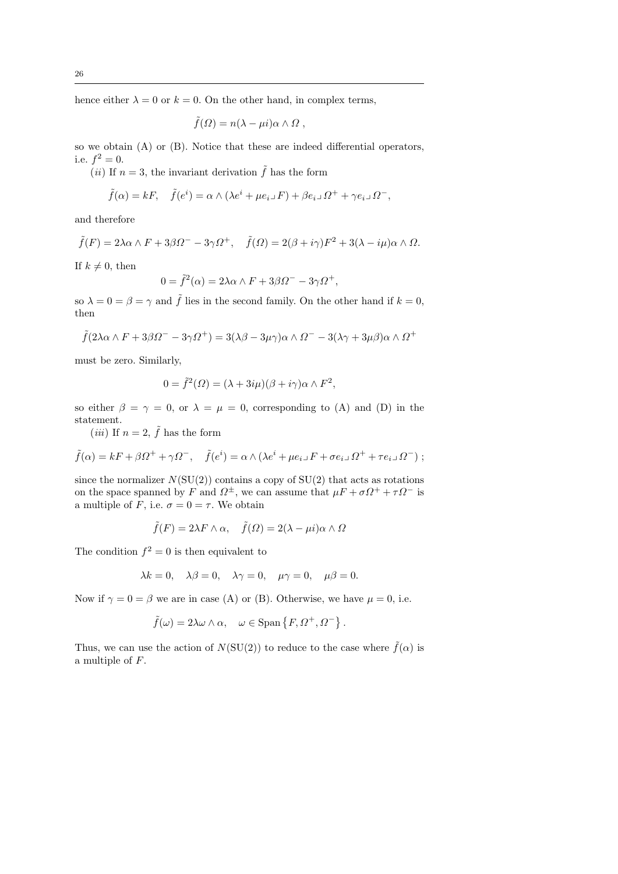hence either  $\lambda = 0$  or  $k = 0$ . On the other hand, in complex terms,

$$
\tilde{f}(\Omega) = n(\lambda - \mu i)\alpha \wedge \Omega ,
$$

so we obtain (A) or (B). Notice that these are indeed differential operators, i.e.  $f^2 = 0$ .

(*ii*) If  $n = 3$ , the invariant derivation  $\tilde{f}$  has the form

$$
\tilde{f}(\alpha) = kF, \quad \tilde{f}(e^i) = \alpha \wedge (\lambda e^i + \mu e_i \lrcorner F) + \beta e_i \lrcorner \Omega^+ + \gamma e_i \lrcorner \Omega^-,
$$

and therefore

$$
\tilde{f}(F) = 2\lambda\alpha\wedge F + 3\beta\Omega^{-} - 3\gamma\Omega^{+}, \quad \tilde{f}(\Omega) = 2(\beta + i\gamma)F^{2} + 3(\lambda - i\mu)\alpha\wedge\Omega.
$$

If  $k \neq 0$ , then

$$
0 = \tilde{f}^2(\alpha) = 2\lambda\alpha \wedge F + 3\beta\Omega^- - 3\gamma\Omega^+,
$$

so  $\lambda = 0 = \beta = \gamma$  and  $\tilde{f}$  lies in the second family. On the other hand if  $k = 0$ , then

$$
\tilde{f}(2\lambda\alpha\wedge F + 3\beta\Omega^{-} - 3\gamma\Omega^{+}) = 3(\lambda\beta - 3\mu\gamma)\alpha\wedge\Omega^{-} - 3(\lambda\gamma + 3\mu\beta)\alpha\wedge\Omega^{+}
$$

must be zero. Similarly,

$$
0 = \tilde{f}^{2}(\Omega) = (\lambda + 3i\mu)(\beta + i\gamma)\alpha \wedge F^{2},
$$

so either  $\beta = \gamma = 0$ , or  $\lambda = \mu = 0$ , corresponding to (A) and (D) in the statement.

(*iii*) If  $n = 2$ ,  $\tilde{f}$  has the form

$$
\tilde{f}(\alpha) = kF + \beta \Omega^+ + \gamma \Omega^-, \quad \tilde{f}(e^i) = \alpha \wedge (\lambda e^i + \mu e_i \Box F + \sigma e_i \Box \Omega^+ + \tau e_i \Box \Omega^-);
$$

since the normalizer  $N(SU(2))$  contains a copy of  $SU(2)$  that acts as rotations on the space spanned by F and  $\Omega^{\pm}$ , we can assume that  $\mu F + \sigma \Omega^{+} + \tau \Omega^{-}$  is a multiple of F, i.e.  $\sigma = 0 = \tau$ . We obtain

$$
\tilde{f}(F) = 2\lambda F \wedge \alpha, \quad \tilde{f}(\Omega) = 2(\lambda - \mu i)\alpha \wedge \Omega
$$

The condition  $f^2 = 0$  is then equivalent to

$$
\lambda k = 0, \quad \lambda \beta = 0, \quad \lambda \gamma = 0, \quad \mu \gamma = 0, \quad \mu \beta = 0.
$$

Now if  $\gamma = 0 = \beta$  we are in case (A) or (B). Otherwise, we have  $\mu = 0$ , i.e.

$$
\tilde{f}(\omega) = 2\lambda\omega \wedge \alpha, \quad \omega \in \text{Span}\left\{F, \Omega^+, \Omega^-\right\}.
$$

Thus, we can use the action of  $N(SU(2))$  to reduce to the case where  $\tilde{f}(\alpha)$  is a multiple of F.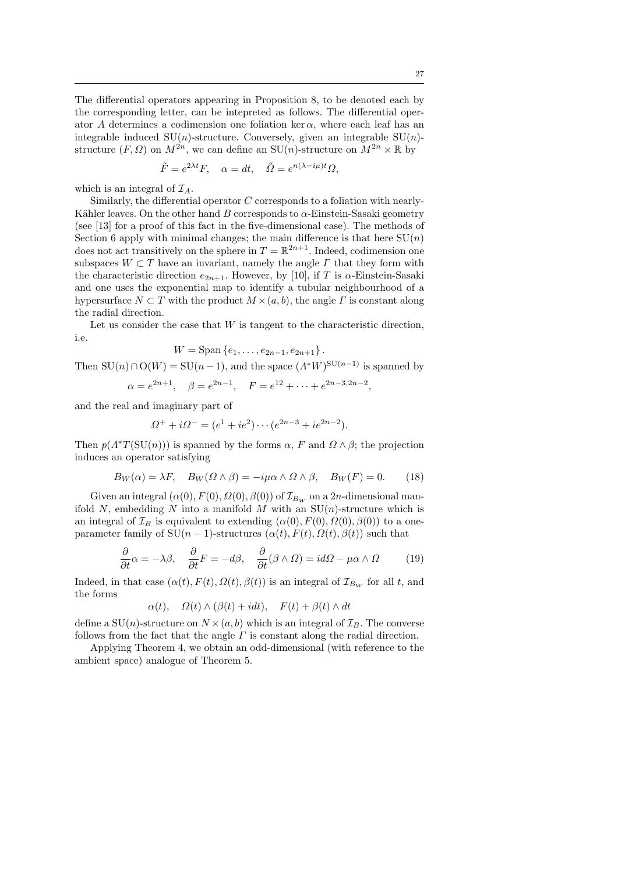The differential operators appearing in Proposition 8, to be denoted each by the corresponding letter, can be intepreted as follows. The differential operator A determines a codimension one foliation ker  $\alpha$ , where each leaf has an integrable induced  $SU(n)$ -structure. Conversely, given an integrable  $SU(n)$ structure  $(F, \Omega)$  on  $M^{2n}$ , we can define an  $SU(n)$ -structure on  $M^{2n} \times \mathbb{R}$  by

$$
\tilde{F} = e^{2\lambda t} F, \quad \alpha = dt, \quad \tilde{\Omega} = e^{n(\lambda - i\mu)t} \Omega,
$$

which is an integral of  $\mathcal{I}_A$ .

Similarly, the differential operator C corresponds to a foliation with nearly-Kähler leaves. On the other hand B corresponds to  $\alpha$ -Einstein-Sasaki geometry (see [13] for a proof of this fact in the five-dimensional case). The methods of Section 6 apply with minimal changes; the main difference is that here  $SU(n)$ does not act transitively on the sphere in  $T = \mathbb{R}^{2n+1}$ . Indeed, codimension one subspaces  $W \subset T$  have an invariant, namely the angle  $\Gamma$  that they form with the characteristic direction  $e_{2n+1}$ . However, by [10], if T is  $\alpha$ -Einstein-Sasaki and one uses the exponential map to identify a tubular neighbourhood of a hypersurface  $N \subset T$  with the product  $M \times (a, b)$ , the angle  $\Gamma$  is constant along the radial direction.

Let us consider the case that  $W$  is tangent to the characteristic direction, i.e.

$$
W = \text{Span}\{e_1, \ldots, e_{2n-1}, e_{2n+1}\}.
$$

Then  $SU(n) \cap O(W) = SU(n-1)$ , and the space  $(\Lambda^* W)^{SU(n-1)}$  is spanned by

$$
\alpha = e^{2n+1}, \quad \beta = e^{2n-1}, \quad F = e^{12} + \dots + e^{2n-3}e^{2n-2},
$$

and the real and imaginary part of

$$
\Omega^+ + i\Omega^- = (e^1 + ie^2)\cdots(e^{2n-3} + ie^{2n-2}).
$$

Then  $p(A^*T(SU(n)))$  is spanned by the forms  $\alpha$ , F and  $\Omega \wedge \beta$ ; the projection induces an operator satisfying

$$
B_W(\alpha) = \lambda F, \quad B_W(\Omega \wedge \beta) = -i\mu\alpha \wedge \Omega \wedge \beta, \quad B_W(F) = 0. \tag{18}
$$

Given an integral  $(\alpha(0), F(0), \Omega(0), \beta(0))$  of  $\mathcal{I}_{B_W}$  on a 2n-dimensional manifold N, embedding N into a manifold M with an  $SU(n)$ -structure which is an integral of  $\mathcal{I}_B$  is equivalent to extending  $(\alpha(0), F(0), \Omega(0), \beta(0))$  to a oneparameter family of  $SU(n-1)$ -structures  $(\alpha(t), F(t), \Omega(t), \beta(t))$  such that

$$
\frac{\partial}{\partial t}\alpha = -\lambda\beta, \quad \frac{\partial}{\partial t}F = -d\beta, \quad \frac{\partial}{\partial t}(\beta \wedge \Omega) = id\Omega - \mu\alpha \wedge \Omega \tag{19}
$$

Indeed, in that case  $(\alpha(t), F(t), \Omega(t), \beta(t))$  is an integral of  $\mathcal{I}_{B_W}$  for all t, and the forms

$$
\alpha(t)
$$
,  $\Omega(t) \wedge (\beta(t) + i dt)$ ,  $F(t) + \beta(t) \wedge dt$ 

define a  $SU(n)$ -structure on  $N \times (a, b)$  which is an integral of  $\mathcal{I}_B$ . The converse follows from the fact that the angle  $\Gamma$  is constant along the radial direction.

Applying Theorem 4, we obtain an odd-dimensional (with reference to the ambient space) analogue of Theorem 5.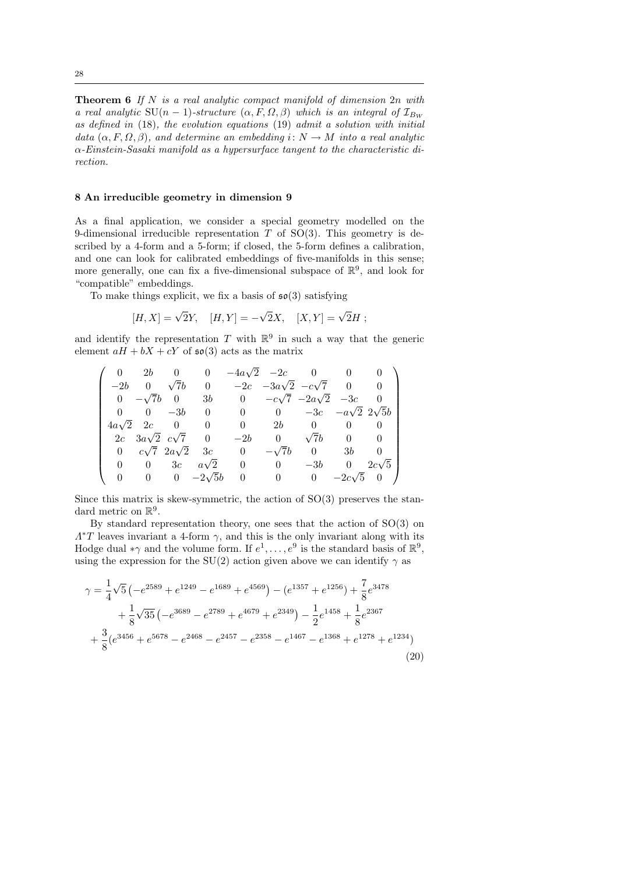**Theorem 6** If N is a real analytic compact manifold of dimension  $2n$  with a real analytic SU(n – 1)-structure  $(\alpha, F, \Omega, \beta)$  which is an integral of  $\mathcal{I}_{B_{W}}$ as defined in (18), the evolution equations (19) admit a solution with initial data  $(\alpha, F, \Omega, \beta)$ , and determine an embedding  $i: N \to M$  into a real analytic α-Einstein-Sasaki manifold as a hypersurface tangent to the characteristic direction.

## 8 An irreducible geometry in dimension 9

As a final application, we consider a special geometry modelled on the 9-dimensional irreducible representation  $T$  of SO(3). This geometry is described by a 4-form and a 5-form; if closed, the 5-form defines a calibration, and one can look for calibrated embeddings of five-manifolds in this sense; more generally, one can fix a five-dimensional subspace of  $\mathbb{R}^9$ , and look for "compatible" embeddings.

To make things explicit, we fix a basis of  $\mathfrak{so}(3)$  satisfying

$$
[H, X] = \sqrt{2}Y, \quad [H, Y] = -\sqrt{2}X, \quad [X, Y] = \sqrt{2}H;
$$

and identify the representation T with  $\mathbb{R}^9$  in such a way that the generic element  $aH + bX + cY$  of  $\mathfrak{so}(3)$  acts as the matrix

$$
\left(\begin{array}{ccccccccc} 0 & 2b & 0 & 0 & -4a\sqrt{2} & -2c & 0 & 0 & 0 \\ -2b & 0 & \sqrt{7}b & 0 & -2c & -3a\sqrt{2} & -c\sqrt{7} & 0 & 0 \\ 0 & -\sqrt{7}b & 0 & 3b & 0 & -c\sqrt{7} & -2a\sqrt{2} & -3c & 0 \\ 0 & 0 & -3b & 0 & 0 & 0 & -3c & -a\sqrt{2} & 2\sqrt{5}b \\ 4a\sqrt{2} & 2c & 0 & 0 & 0 & 2b & 0 & 0 & 0 \\ 2c & 3a\sqrt{2} & c\sqrt{7} & 0 & -2b & 0 & \sqrt{7}b & 0 & 0 \\ 0 & c\sqrt{7} & 2a\sqrt{2} & 3c & 0 & -\sqrt{7}b & 0 & 3b & 0 \\ 0 & 0 & 3c & a\sqrt{2} & 0 & 0 & -3b & 0 & 2c\sqrt{5} \\ 0 & 0 & 0 & -2\sqrt{5}b & 0 & 0 & 0 & -2c\sqrt{5} & 0 \end{array}\right)
$$

Since this matrix is skew-symmetric, the action of  $SO(3)$  preserves the standard metric on  $\mathbb{R}^9$ .

By standard representation theory, one sees that the action of SO(3) on  $\Lambda^*T$  leaves invariant a 4-form  $\gamma$ , and this is the only invariant along with its Hodge dual \* $\gamma$  and the volume form. If  $e^1, \ldots, e^9$  is the standard basis of  $\mathbb{R}^9$ , using the expression for the SU(2) action given above we can identify  $\gamma$  as

$$
\gamma = \frac{1}{4}\sqrt{5}\left(-e^{2589} + e^{1249} - e^{1689} + e^{4569}\right) - (e^{1357} + e^{1256}) + \frac{7}{8}e^{3478} \n+ \frac{1}{8}\sqrt{35}\left(-e^{3689} - e^{2789} + e^{4679} + e^{2349}\right) - \frac{1}{2}e^{1458} + \frac{1}{8}e^{2367} \n+ \frac{3}{8}(e^{3456} + e^{5678} - e^{2468} - e^{2457} - e^{2358} - e^{1467} - e^{1368} + e^{1278} + e^{1234})
$$
\n(20)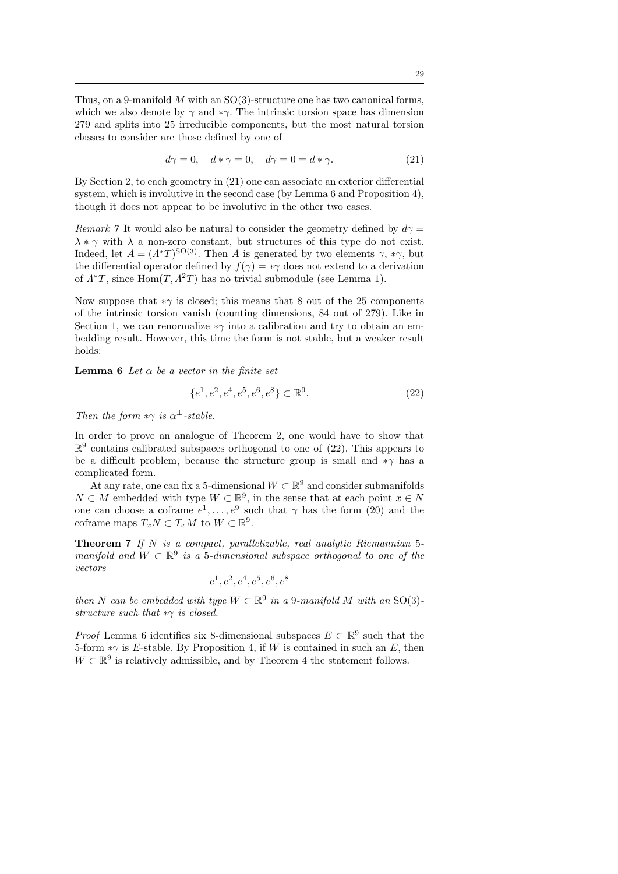Thus, on a 9-manifold  $M$  with an  $SO(3)$ -structure one has two canonical forms, which we also denote by  $\gamma$  and  $*\gamma$ . The intrinsic torsion space has dimension 279 and splits into 25 irreducible components, but the most natural torsion classes to consider are those defined by one of

$$
d\gamma = 0, \quad d * \gamma = 0, \quad d\gamma = 0 = d * \gamma. \tag{21}
$$

By Section 2, to each geometry in (21) one can associate an exterior differential system, which is involutive in the second case (by Lemma 6 and Proposition 4), though it does not appear to be involutive in the other two cases.

*Remark* 7 It would also be natural to consider the geometry defined by  $d\gamma =$  $\lambda * \gamma$  with  $\lambda$  a non-zero constant, but structures of this type do not exist. Indeed, let  $A = (A^*T)^{SO(3)}$ . Then A is generated by two elements  $\gamma$ ,  $*\gamma$ , but the differential operator defined by  $f(\gamma) = * \gamma$  does not extend to a derivation of  $\Lambda^*T$ , since Hom $(T, \Lambda^2T)$  has no trivial submodule (see Lemma 1).

Now suppose that  $*\gamma$  is closed; this means that 8 out of the 25 components of the intrinsic torsion vanish (counting dimensions, 84 out of 279). Like in Section 1, we can renormalize  $*\gamma$  into a calibration and try to obtain an embedding result. However, this time the form is not stable, but a weaker result holds:

**Lemma 6** Let  $\alpha$  be a vector in the finite set

$$
\{e^1, e^2, e^4, e^5, e^6, e^8\} \subset \mathbb{R}^9. \tag{22}
$$

Then the form  $*\gamma$  is  $\alpha^{\perp}$ -stable.

In order to prove an analogue of Theorem 2, one would have to show that  $\mathbb{R}^9$  contains calibrated subspaces orthogonal to one of (22). This appears to be a difficult problem, because the structure group is small and  $*\gamma$  has a complicated form.

At any rate, one can fix a 5-dimensional  $W \subset \mathbb{R}^9$  and consider submanifolds  $N \subset M$  embedded with type  $W \subset \mathbb{R}^9$ , in the sense that at each point  $x \in N$ one can choose a coframe  $e^1, \ldots, e^9$  such that  $\gamma$  has the form (20) and the coframe maps  $T_xN \subset T_xM$  to  $W \subset \mathbb{R}^9$ .

Theorem 7 If N is a compact, parallelizable, real analytic Riemannian 5 manifold and  $W \subset \mathbb{R}^9$  is a 5-dimensional subspace orthogonal to one of the vectors

$$
e^1, e^2, e^4, e^5, e^6, e^8
$$

then N can be embedded with type  $W \subset \mathbb{R}^9$  in a 9-manifold M with an SO(3)structure such that  $*\gamma$  is closed.

*Proof* Lemma 6 identifies six 8-dimensional subspaces  $E \subset \mathbb{R}^9$  such that the 5-form  $*\gamma$  is E-stable. By Proposition 4, if W is contained in such an E, then  $W \subset \mathbb{R}^9$  is relatively admissible, and by Theorem 4 the statement follows.